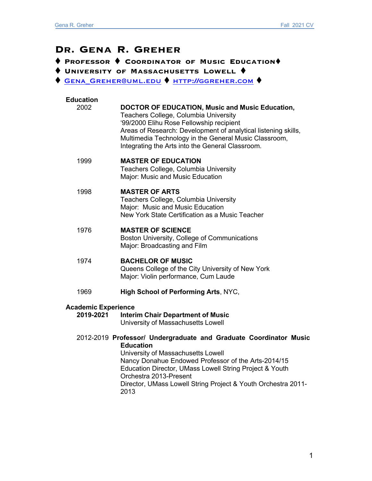# **Dr. Gena R. Greher**

t **Professor** t **Coordinator of Music Education**t

 $\blacklozenge$  University of Massachusetts Lowell  $\blacklozenge$ 

**↑ GENA\_GREHER@UML.EDU ↑ HTTP://GGREHER.COM ♦** 

| <b>Education</b>    |                                                                                                                                                                                                                                                                                                                            |  |
|---------------------|----------------------------------------------------------------------------------------------------------------------------------------------------------------------------------------------------------------------------------------------------------------------------------------------------------------------------|--|
| 2002                | <b>DOCTOR OF EDUCATION, Music and Music Education,</b><br>Teachers College, Columbia University<br>'99/2000 Elihu Rose Fellowship recipient<br>Areas of Research: Development of analytical listening skills,<br>Multimedia Technology in the General Music Classroom,<br>Integrating the Arts into the General Classroom. |  |
| 1999                | <b>MASTER OF EDUCATION</b><br>Teachers College, Columbia University<br>Major: Music and Music Education                                                                                                                                                                                                                    |  |
| 1998                | <b>MASTER OF ARTS</b><br>Teachers College, Columbia University<br>Major: Music and Music Education<br>New York State Certification as a Music Teacher                                                                                                                                                                      |  |
| 1976                | <b>MASTER OF SCIENCE</b><br>Boston University, College of Communications<br>Major: Broadcasting and Film                                                                                                                                                                                                                   |  |
| 1974                | <b>BACHELOR OF MUSIC</b><br>Queens College of the City University of New York<br>Major: Violin performance, Cum Laude                                                                                                                                                                                                      |  |
| 1969                | High School of Performing Arts, NYC,                                                                                                                                                                                                                                                                                       |  |
| Academic Experience |                                                                                                                                                                                                                                                                                                                            |  |
| 2019-2021           | <b>Interim Chair Department of Music</b><br>University of Massachusetts Lowell                                                                                                                                                                                                                                             |  |
|                     | 2012-2019 Professor/ Undergraduate and Graduate Coordinator Music<br><b>Education</b><br>University of Massachusetts Lowell<br>Nancy Donahue Endowed Professor of the Arts-2014/15<br>Education Director, UMass Lowell String Project & Youth<br>Orchestra 2013-Present<br>.                                               |  |

Director, UMass Lowell String Project & Youth Orchestra 2011- 2013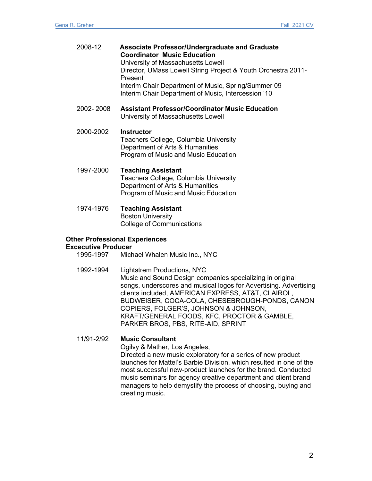|                                       | 2008-12                                 | <b>Associate Professor/Undergraduate and Graduate</b><br><b>Coordinator Music Education</b><br>University of Massachusetts Lowell<br>Director, UMass Lowell String Project & Youth Orchestra 2011-<br>Present<br>Interim Chair Department of Music, Spring/Summer 09 |
|---------------------------------------|-----------------------------------------|----------------------------------------------------------------------------------------------------------------------------------------------------------------------------------------------------------------------------------------------------------------------|
|                                       |                                         | Interim Chair Department of Music, Intercession '10                                                                                                                                                                                                                  |
|                                       | 2002-2008                               | <b>Assistant Professor/Coordinator Music Education</b><br>University of Massachusetts Lowell                                                                                                                                                                         |
|                                       | 2000-2002                               | Instructor<br>Teachers College, Columbia University<br>Department of Arts & Humanities<br>Program of Music and Music Education                                                                                                                                       |
|                                       | 1997-2000                               | <b>Teaching Assistant</b><br>Teachers College, Columbia University<br>Department of Arts & Humanities<br>Program of Music and Music Education                                                                                                                        |
|                                       | 1974-1976                               | <b>Teaching Assistant</b><br><b>Boston University</b><br><b>College of Communications</b>                                                                                                                                                                            |
| <b>Other Professional Experiences</b> |                                         |                                                                                                                                                                                                                                                                      |
|                                       | <b>Excecutive Producer</b><br>1995-1997 | Michael Whalen Music Inc., NYC                                                                                                                                                                                                                                       |
|                                       | 1992-1994                               | <b>Lightstrem Productions, NYC</b><br>Music and Sound Design companies specializing in original                                                                                                                                                                      |

Music and Sound Design companies specializing in original songs, underscores and musical logos for Advertising. Advertising clients included, AMERICAN EXPRESS, AT&T, CLAIROL, BUDWEISER, COCA-COLA, CHESEBROUGH-PONDS, CANON COPIERS, FOLGER'S, JOHNSON & JOHNSON, KRAFT/GENERAL FOODS, KFC, PROCTOR & GAMBLE, PARKER BROS, PBS, RITE-AID, SPRINT

11/91-2/92 **Music Consultant**

Ogilvy & Mather, Los Angeles,

Directed a new music exploratory for a series of new product launches for Mattel's Barbie Division, which resulted in one of the most successful new-product launches for the brand. Conducted music seminars for agency creative department and client brand managers to help demystify the process of choosing, buying and creating music.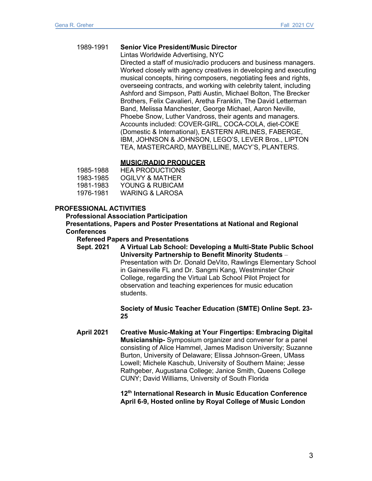### 1989-1991 **Senior Vice President/Music Director**

Lintas Worldwide Advertising, NYC

Directed a staff of music/radio producers and business managers. Worked closely with agency creatives in developing and executing musical concepts, hiring composers, negotiating fees and rights, overseeing contracts, and working with celebrity talent, including Ashford and Simpson, Patti Austin, Michael Bolton, The Brecker Brothers, Felix Cavalieri, Aretha Franklin, The David Letterman Band, Melissa Manchester, George Michael, Aaron Neville, Phoebe Snow, Luther Vandross, their agents and managers. Accounts included: COVER-GIRL, COCA-COLA, diet-COKE (Domestic & International), EASTERN AIRLINES, FABERGE, IBM, JOHNSON & JOHNSON, LEGO'S, LEVER Bros., LIPTON TEA, MASTERCARD, MAYBELLINE, MACY'S, PLANTERS.

### **MUSIC/RADIO PRODUCER**

| 1985-1988 | HEA PRODUCTIONS  |
|-----------|------------------|
| 1983-1985 | OGIL VY & MATHER |
| 1981-1983 | YOUNG & RUBICAM  |
| 1976-1981 | WARING & LAROSA  |

### **PROFESSIONAL ACTIVITIES**

**Professional Association Participation**

**Presentations, Papers and Poster Presentations at National and Regional Conferences**

**Refereed Papers and Presentations**

**Sept. 2021 A Virtual Lab School: Developing a Multi-State Public School University Partnership to Benefit Minority Students** – Presentation with Dr. Donald DeVito, Rawlings Elementary School in Gainesville FL and Dr. Sangmi Kang, Westminster Choir College, regarding the Virtual Lab School Pilot Project for observation and teaching experiences for music education students.

> **Society of Music Teacher Education (SMTE) Online Sept. 23- 25**

**April 2021 Creative Music-Making at Your Fingertips: Embracing Digital Musicianship-** Symposium organizer and convener for a panel consisting of Alice Hammel, James Madison University; Suzanne Burton, University of Delaware; Elissa Johnson-Green, UMass Lowell; Michele Kaschub, University of Southern Maine; Jesse Rathgeber, Augustana College; Janice Smith, Queens College CUNY; David Williams, University of South Florida

> **12th International Research in Music Education Conference April 6-9, Hosted online by Royal College of Music London**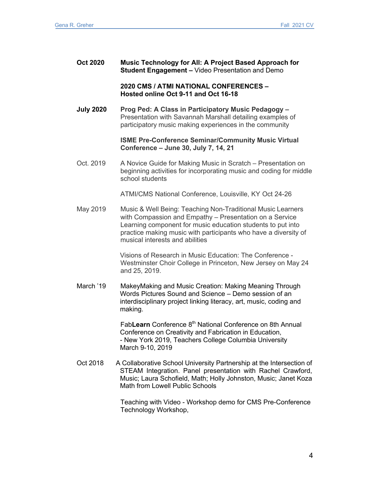| <b>Oct 2020</b> | Music Technology for All: A Project Based Approach for  |
|-----------------|---------------------------------------------------------|
|                 | <b>Student Engagement</b> – Video Presentation and Demo |

### **2020 CMS / ATMI NATIONAL CONFERENCES – Hosted online Oct 9-11 and Oct 16-18**

**July 2020 Prog Ped: A Class in Participatory Music Pedagogy –** Presentation with Savannah Marshall detailing examples of participatory music making experiences in the community

### **ISME Pre-Conference Seminar/Community Music Virtual Conference – June 30, July 7, 14, 21**

Oct. 2019 A Novice Guide for Making Music in Scratch – Presentation on beginning activities for incorporating music and coding for middle school students

ATMI/CMS National Conference, Louisville, KY Oct 24-26

May 2019 Music & Well Being: Teaching Non-Traditional Music Learners with Compassion and Empathy – Presentation on a Service Learning component for music education students to put into practice making music with participants who have a diversity of musical interests and abilities

> Visions of Research in Music Education: The Conference - Westminster Choir College in Princeton, New Jersey on May 24 and 25, 2019.

March '19 MakeyMaking and Music Creation: Making Meaning Through Words Pictures Sound and Science – Demo session of an interdisciplinary project linking literacy, art, music, coding and making.

> Fab**Learn** Conference 8th National Conference on 8th Annual Conference on Creativity and Fabrication in Education, - New York 2019, Teachers College Columbia University March 9-10, 2019

Oct 2018 A Collaborative School University Partnership at the Intersection of STEAM Integration. Panel presentation with Rachel Crawford, Music; Laura Schofield, Math; Holly Johnston, Music; Janet Koza Math from Lowell Public Schools

> Teaching with Video - Workshop demo for CMS Pre-Conference Technology Workshop,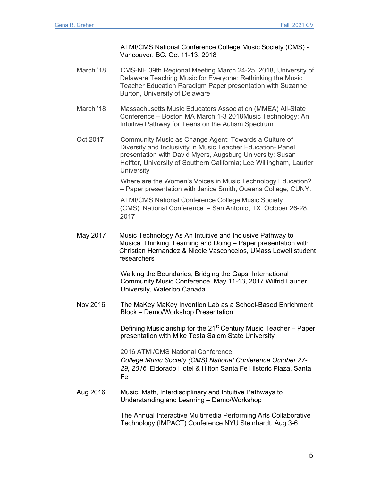ATMI/CMS National Conference College Music Society (CMS) - Vancouver, BC. Oct 11-13, 2018

March '18 CMS-NE 39th Regional Meeting March 24-25, 2018, University of Delaware Teaching Music for Everyone: Rethinking the Music Teacher Education Paradigm Paper presentation with Suzanne Burton, University of Delaware

March '18 Massachusetts Music Educators Association (MMEA) All-State Conference – Boston MA March 1-3 2018Music Technology: An Intuitive Pathway for Teens on the Autism Spectrum

Oct 2017 Community Music as Change Agent: Towards a Culture of Diversity and Inclusivity in Music Teacher Education- Panel presentation with David Myers, Augsburg University; Susan Helfter, University of Southern California; Lee Willingham, Laurier **University** 

> Where are the Women's Voices in Music Technology Education? – Paper presentation with Janice Smith, Queens College, CUNY.

ATMI/CMS National Conference College Music Society (CMS) National Conference – San Antonio, TX October 26-28, 2017

May 2017 Music Technology As An Intuitive and Inclusive Pathway to Musical Thinking, Learning and Doing **–** Paper presentation with Christian Hernandez & Nicole Vasconcelos, UMass Lowell student researchers

> Walking the Boundaries, Bridging the Gaps: International Community Music Conference, May 11-13, 2017 Wilfrid Laurier University, Waterloo Canada

Nov 2016 The MaKey MaKey Invention Lab as a School-Based Enrichment Block **–** Demo/Workshop Presentation

> Defining Musicianship for the  $21<sup>st</sup>$  Century Music Teacher – Paper presentation with Mike Testa Salem State University

2016 ATMI/CMS National Conference *College Music Society (CMS) National Conference October 27- 29, 2016* Eldorado Hotel & Hilton Santa Fe Historic Plaza, Santa Fe

Aug 2016 Music, Math, Interdisciplinary and Intuitive Pathways to Understanding and Learning **–** Demo/Workshop

> The Annual Interactive Multimedia Performing Arts Collaborative Technology (IMPACT) Conference NYU Steinhardt, Aug 3-6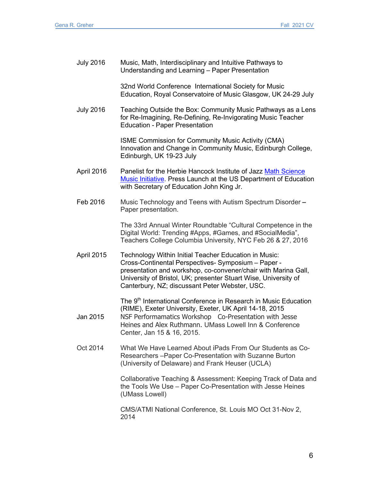| <b>July 2016</b> | Music, Math, Interdisciplinary and Intuitive Pathways to<br>Understanding and Learning - Paper Presentation                                                                                                                                                                                         |
|------------------|-----------------------------------------------------------------------------------------------------------------------------------------------------------------------------------------------------------------------------------------------------------------------------------------------------|
|                  | 32nd World Conference International Society for Music<br>Education, Royal Conservatoire of Music Glasgow, UK 24-29 July                                                                                                                                                                             |
| <b>July 2016</b> | Teaching Outside the Box: Community Music Pathways as a Lens<br>for Re-Imagining, Re-Defining, Re-Invigorating Music Teacher<br><b>Education - Paper Presentation</b>                                                                                                                               |
|                  | <b>ISME Commission for Community Music Activity (CMA)</b><br>Innovation and Change in Community Music, Edinburgh College,<br>Edinburgh, UK 19-23 July                                                                                                                                               |
| April 2016       | Panelist for the Herbie Hancock Institute of Jazz Math Science<br>Music Initiative. Press Launch at the US Department of Education<br>with Secretary of Education John King Jr.                                                                                                                     |
| Feb 2016         | Music Technology and Teens with Autism Spectrum Disorder -<br>Paper presentation.                                                                                                                                                                                                                   |
|                  | The 33rd Annual Winter Roundtable "Cultural Competence in the<br>Digital World: Trending #Apps, #Games, and #SocialMedia",<br>Teachers College Columbia University, NYC Feb 26 & 27, 2016                                                                                                           |
| April 2015       | Technology Within Initial Teacher Education in Music:<br>Cross-Continental Perspectives- Symposium - Paper -<br>presentation and workshop, co-convener/chair with Marina Gall,<br>University of Bristol, UK; presenter Stuart Wise, University of<br>Canterbury, NZ; discussant Peter Webster, USC. |
| Jan 2015         | The 9 <sup>th</sup> International Conference in Research in Music Education<br>(RIME), Exeter University, Exeter, UK April 14-18, 2015<br>NSF Performamatics Workshop Co-Presentation with Jesse<br>Heines and Alex Ruthmann. UMass Lowell Inn & Conference<br>Center, Jan 15 & 16, 2015.           |
| Oct 2014         | What We Have Learned About iPads From Our Students as Co-<br>Researchers-Paper Co-Presentation with Suzanne Burton<br>(University of Delaware) and Frank Heuser (UCLA)                                                                                                                              |
|                  | Collaborative Teaching & Assessment: Keeping Track of Data and<br>the Tools We Use - Paper Co-Presentation with Jesse Heines<br>(UMass Lowell)                                                                                                                                                      |
|                  | CMS/ATMI National Conference, St. Louis MO Oct 31-Nov 2,<br>2014                                                                                                                                                                                                                                    |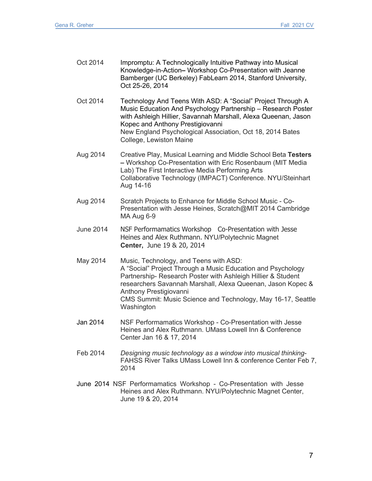| Oct 2014         | Impromptu: A Technologically Intuitive Pathway into Musical<br>Knowledge-in-Action- Workshop Co-Presentation with Jeanne<br>Bamberger (UC Berkeley) FabLearn 2014, Stanford University,<br>Oct 25-26, 2014                                                                                                                                   |
|------------------|----------------------------------------------------------------------------------------------------------------------------------------------------------------------------------------------------------------------------------------------------------------------------------------------------------------------------------------------|
| Oct 2014         | Technology And Teens With ASD: A "Social" Project Through A<br>Music Education And Psychology Partnership - Research Poster<br>with Ashleigh Hillier, Savannah Marshall, Alexa Queenan, Jason<br>Kopec and Anthony Prestigiovanni<br>New England Psychological Association, Oct 18, 2014 Bates<br>College, Lewiston Maine                    |
| Aug 2014         | Creative Play, Musical Learning and Middle School Beta Testers<br>- Workshop Co-Presentation with Eric Rosenbaum (MIT Media<br>Lab) The First Interactive Media Performing Arts<br>Collaborative Technology (IMPACT) Conference. NYU/Steinhart<br>Aug 14-16                                                                                  |
| Aug 2014         | Scratch Projects to Enhance for Middle School Music - Co-<br>Presentation with Jesse Heines, Scratch@MIT 2014 Cambridge<br>MA Aug 6-9                                                                                                                                                                                                        |
| <b>June 2014</b> | NSF Performamatics Workshop Co-Presentation with Jesse<br>Heines and Alex Ruthmann. NYU/Polytechnic Magnet<br>Center, June 19 & 20, 2014                                                                                                                                                                                                     |
| May 2014         | Music, Technology, and Teens with ASD:<br>A "Social" Project Through a Music Education and Psychology<br>Partnership- Research Poster with Ashleigh Hillier & Student<br>researchers Savannah Marshall, Alexa Queenan, Jason Kopec &<br>Anthony Prestigiovanni<br>CMS Summit: Music Science and Technology, May 16-17, Seattle<br>Washington |
| Jan 2014         | NSF Performamatics Workshop - Co-Presentation with Jesse<br>Heines and Alex Ruthmann. UMass Lowell Inn & Conference<br>Center Jan 16 & 17, 2014                                                                                                                                                                                              |
| Feb 2014         | Designing music technology as a window into musical thinking-<br>FAHSS River Talks UMass Lowell Inn & conference Center Feb 7,<br>2014                                                                                                                                                                                                       |
|                  | June 2014 NSF Performamatics Workshop - Co-Presentation with Jesse<br>and Aloy Duthmann, NVU UDelytechnic Mognet Con                                                                                                                                                                                                                         |

Heines and Alex Ruthmann. NYU/Polytechnic Magnet Center, June 19 & 20, 2014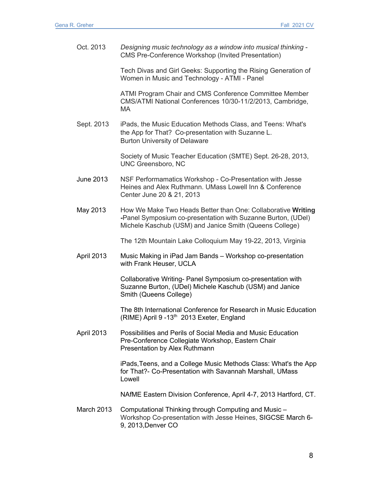Oct. 2013 *Designing music technology as a window into musical thinking -* CMS Pre-Conference Workshop (Invited Presentation)

> Tech Divas and Girl Geeks: Supporting the Rising Generation of Women in Music and Technology - ATMI - Panel

ATMI Program Chair and CMS Conference Committee Member CMS/ATMI National Conferences 10/30-11/2/2013, Cambridge, MA

Sept. 2013 iPads, the Music Education Methods Class, and Teens: What's the App for That? Co-presentation with Suzanne L. Burton University of Delaware

> Society of Music Teacher Education (SMTE) Sept. 26-28, 2013, UNC Greensboro, NC

- June 2013 NSF Performamatics Workshop Co-Presentation with Jesse Heines and Alex Ruthmann. UMass Lowell Inn & Conference Center June 20 & 21, 2013
- May 2013 How We Make Two Heads Better than One: Collaborative **Writing -**Panel Symposium co-presentation with Suzanne Burton, (UDel) Michele Kaschub (USM) and Janice Smith (Queens College)

The 12th Mountain Lake Colloquium May 19-22, 2013, Virginia

April 2013 Music Making in iPad Jam Bands – Workshop co-presentation with Frank Heuser, UCLA

> Collaborative Writing- Panel Symposium co-presentation with Suzanne Burton, (UDel) Michele Kaschub (USM) and Janice Smith (Queens College)

The 8th International Conference for Research in Music Education (RIME) April 9 -13<sup>th</sup> 2013 Exeter, England

April 2013 Possibilities and Perils of Social Media and Music Education Pre-Conference Collegiate Workshop, Eastern Chair Presentation by Alex Ruthmann

> iPads,Teens, and a College Music Methods Class: What's the App for That?- Co-Presentation with Savannah Marshall, UMass Lowell

> NAfME Eastern Division Conference, April 4-7, 2013 Hartford, CT.

March 2013 Computational Thinking through Computing and Music – Workshop Co-presentation with Jesse Heines, SIGCSE March 6- 9, 2013,Denver CO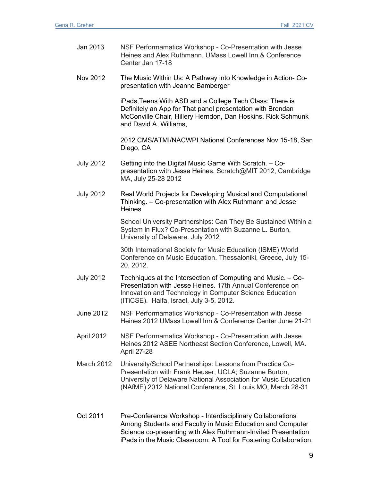- Jan 2013 NSF Performamatics Workshop Co-Presentation with Jesse Heines and Alex Ruthmann. UMass Lowell Inn & Conference Center Jan 17-18 Nov 2012 The Music Within Us: A Pathway into Knowledge in Action- Copresentation with Jeanne Bamberger iPads,Teens With ASD and a College Tech Class: There is Definitely an App for That panel presentation with Brendan McConville Chair, Hillery Herndon, Dan Hoskins, Rick Schmunk and David A. Williams, 2012 CMS/ATMI/NACWPI National Conferences Nov 15-18, San Diego, CA July 2012 Getting into the Digital Music Game With Scratch. – Copresentation with Jesse Heines. Scratch@MIT 2012, Cambridge MA, July 25-28 2012 July 2012 Real World Projects for Developing Musical and Computational Thinking. – Co-presentation with Alex Ruthmann and Jesse **Heines** School University Partnerships: Can They Be Sustained Within a System in Flux? Co-Presentation with Suzanne L. Burton, University of Delaware. July 2012 30th International Society for Music Education (ISME) World Conference on Music Education. Thessaloniki, Greece, July 15- 20, 2012. July 2012 Techniques at the Intersection of Computing and Music. – Co-Presentation with Jesse Heines. 17th Annual Conference on Innovation and Technology in Computer Science Education (ITiCSE). Haifa, Israel, July 3-5, 2012. June 2012 NSF Performamatics Workshop - Co-Presentation with Jesse Heines 2012 UMass Lowell Inn & Conference Center June 21-21 April 2012 NSF Performamatics Workshop - Co-Presentation with Jesse Heines 2012 ASEE Northeast Section Conference, Lowell, MA. April 27-28 March 2012 University/School Partnerships: Lessons from Practice Co-Presentation with Frank Heuser, UCLA; Suzanne Burton, University of Delaware National Association for Music Education (NAfME) 2012 National Conference, St. Louis MO, March 28-31 Oct 2011 Pre-Conference Workshop - Interdisciplinary Collaborations
	- Among Students and Faculty in Music Education and Computer Science co-presenting with Alex Ruthmann-Invited Presentation iPads in the Music Classroom: A Tool for Fostering Collaboration.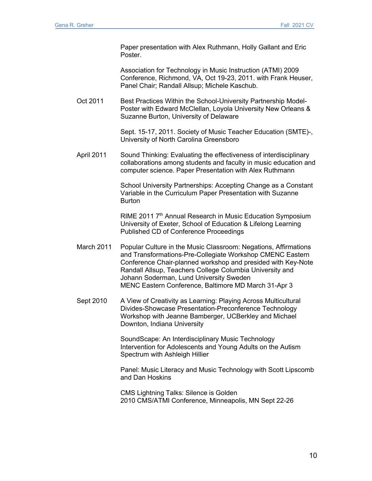Paper presentation with Alex Ruthmann, Holly Gallant and Eric Poster.

Association for Technology in Music Instruction (ATMI) 2009 Conference, Richmond, VA, Oct 19-23, 2011. with Frank Heuser, Panel Chair; Randall Allsup; Michele Kaschub.

Oct 2011 Best Practices Within the School-University Partnership Model-Poster with Edward McClellan, Loyola University New Orleans & Suzanne Burton, University of Delaware

> Sept. 15-17, 2011. Society of Music Teacher Education (SMTE)-, University of North Carolina Greensboro

April 2011 Sound Thinking: Evaluating the effectiveness of interdisciplinary collaborations among students and faculty in music education and computer science. Paper Presentation with Alex Ruthmann

> School University Partnerships: Accepting Change as a Constant Variable in the Curriculum Paper Presentation with Suzanne **Burton**

RIME 2011 7<sup>th</sup> Annual Research in Music Education Symposium University of Exeter, School of Education & Lifelong Learning Published CD of Conference Proceedings

- March 2011 Popular Culture in the Music Classroom: Negations, Affirmations and Transformations-Pre-Collegiate Workshop CMENC Eastern Conference Chair-planned workshop and presided with Key-Note Randall Allsup, Teachers College Columbia University and Johann Soderman, Lund University Sweden MENC Eastern Conference, Baltimore MD March 31-Apr 3
- Sept 2010 A View of Creativity as Learning: Playing Across Multicultural Divides-Showcase Presentation-Preconference Technology Workshop with Jeanne Bamberger, UCBerkley and Michael Downton, Indiana University

SoundScape: An Interdisciplinary Music Technology Intervention for Adolescents and Young Adults on the Autism Spectrum with Ashleigh Hillier

Panel: Music Literacy and Music Technology with Scott Lipscomb and Dan Hoskins

CMS Lightning Talks: Silence is Golden 2010 CMS/ATMI Conference, Minneapolis, MN Sept 22-26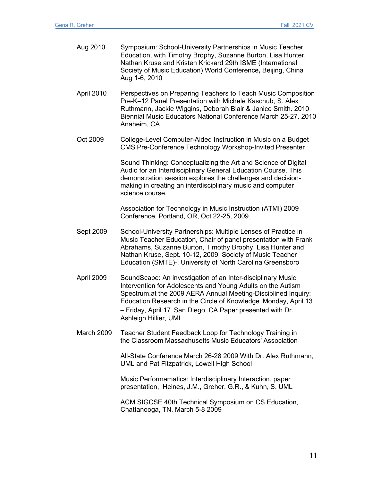| Aug 2010   | Symposium: School-University Partnerships in Music Teacher<br>Education, with Timothy Brophy, Suzanne Burton, Lisa Hunter,<br>Nathan Kruse and Kristen Krickard 29th ISME (International<br>Society of Music Education) World Conference, Beijing, China<br>Aug 1-6, 2010                                                                           |
|------------|-----------------------------------------------------------------------------------------------------------------------------------------------------------------------------------------------------------------------------------------------------------------------------------------------------------------------------------------------------|
| April 2010 | Perspectives on Preparing Teachers to Teach Music Composition<br>Pre-K-12 Panel Presentation with Michele Kaschub, S. Alex<br>Ruthmann, Jackie Wiggins, Deborah Blair & Janice Smith. 2010<br>Biennial Music Educators National Conference March 25-27. 2010<br>Anaheim, CA                                                                         |
| Oct 2009   | College-Level Computer-Aided Instruction in Music on a Budget<br>CMS Pre-Conference Technology Workshop-Invited Presenter                                                                                                                                                                                                                           |
|            | Sound Thinking: Conceptualizing the Art and Science of Digital<br>Audio for an Interdisciplinary General Education Course. This<br>demonstration session explores the challenges and decision-<br>making in creating an interdisciplinary music and computer<br>science course.                                                                     |
|            | Association for Technology in Music Instruction (ATMI) 2009<br>Conference, Portland, OR, Oct 22-25, 2009.                                                                                                                                                                                                                                           |
| Sept 2009  | School-University Partnerships: Multiple Lenses of Practice in<br>Music Teacher Education, Chair of panel presentation with Frank<br>Abrahams, Suzanne Burton, Timothy Brophy, Lisa Hunter and<br>Nathan Kruse, Sept. 10-12, 2009. Society of Music Teacher<br>Education (SMTE)-, University of North Carolina Greensboro                           |
| April 2009 | SoundScape: An investigation of an Inter-disciplinary Music<br>Intervention for Adolescents and Young Adults on the Autism<br>Spectrum.at the 2009 AERA Annual Meeting-Disciplined Inquiry:<br>Education Research in the Circle of Knowledge Monday, April 13<br>- Friday, April 17 San Diego, CA Paper presented with Dr.<br>Ashleigh Hillier, UML |
| March 2009 | Teacher Student Feedback Loop for Technology Training in<br>the Classroom Massachusetts Music Educators' Association                                                                                                                                                                                                                                |
|            | All-State Conference March 26-28 2009 With Dr. Alex Ruthmann,<br>UML and Pat Fitzpatrick, Lowell High School                                                                                                                                                                                                                                        |
|            | Music Performamatics: Interdisciplinary Interaction. paper<br>presentation, Heines, J.M., Greher, G.R., & Kuhn, S. UML                                                                                                                                                                                                                              |

ACM SIGCSE 40th Technical Symposium on CS Education, Chattanooga, TN. March 5-8 2009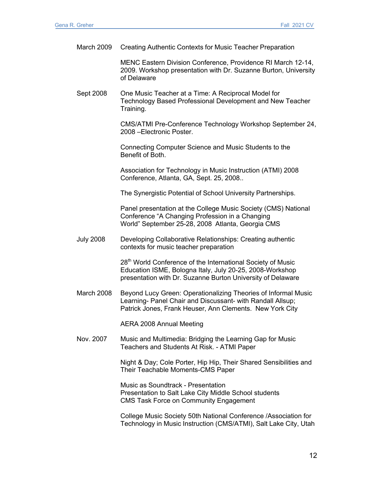| March 2009       | Creating Authentic Contexts for Music Teacher Preparation                                                                                                                                          |
|------------------|----------------------------------------------------------------------------------------------------------------------------------------------------------------------------------------------------|
|                  | MENC Eastern Division Conference, Providence RI March 12-14,<br>2009. Workshop presentation with Dr. Suzanne Burton, University<br>of Delaware                                                     |
| Sept 2008        | One Music Teacher at a Time: A Reciprocal Model for<br>Technology Based Professional Development and New Teacher<br>Training.                                                                      |
|                  | CMS/ATMI Pre-Conference Technology Workshop September 24,<br>2008 - Electronic Poster.                                                                                                             |
|                  | Connecting Computer Science and Music Students to the<br>Benefit of Both.                                                                                                                          |
|                  | Association for Technology in Music Instruction (ATMI) 2008<br>Conference, Atlanta, GA, Sept. 25, 2008                                                                                             |
|                  | The Synergistic Potential of School University Partnerships.                                                                                                                                       |
|                  | Panel presentation at the College Music Society (CMS) National<br>Conference "A Changing Profession in a Changing<br>World" September 25-28, 2008 Atlanta, Georgia CMS                             |
| <b>July 2008</b> | Developing Collaborative Relationships: Creating authentic<br>contexts for music teacher preparation                                                                                               |
|                  | 28 <sup>th</sup> World Conference of the International Society of Music<br>Education ISME, Bologna Italy, July 20-25, 2008-Workshop<br>presentation with Dr. Suzanne Burton University of Delaware |
| March 2008       | Beyond Lucy Green: Operationalizing Theories of Informal Music<br>Learning- Panel Chair and Discussant- with Randall Allsup;<br>Patrick Jones, Frank Heuser, Ann Clements. New York City           |
|                  | <b>AERA 2008 Annual Meeting</b>                                                                                                                                                                    |
| Nov. 2007        | Music and Multimedia: Bridging the Learning Gap for Music<br>Teachers and Students At Risk. - ATMI Paper                                                                                           |
|                  | Night & Day; Cole Porter, Hip Hip, Their Shared Sensibilities and<br>Their Teachable Moments-CMS Paper                                                                                             |
|                  | Music as Soundtrack - Presentation<br>Presentation to Salt Lake City Middle School students<br><b>CMS Task Force on Community Engagement</b>                                                       |
|                  | College Music Society 50th National Conference / Association for<br>Technology in Music Instruction (CMS/ATMI), Salt Lake City, Utah                                                               |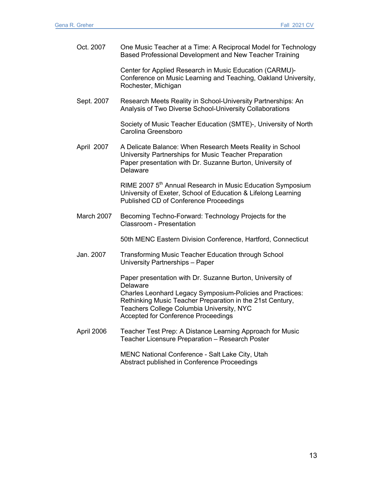| Oct. 2007  | One Music Teacher at a Time: A Reciprocal Model for Technology<br>Based Professional Development and New Teacher Training                                                                                                                                                                         |
|------------|---------------------------------------------------------------------------------------------------------------------------------------------------------------------------------------------------------------------------------------------------------------------------------------------------|
|            | Center for Applied Research in Music Education (CARMU)-<br>Conference on Music Learning and Teaching, Oakland University,<br>Rochester, Michigan                                                                                                                                                  |
| Sept. 2007 | Research Meets Reality in School-University Partnerships: An<br>Analysis of Two Diverse School-University Collaborations                                                                                                                                                                          |
|            | Society of Music Teacher Education (SMTE)-, University of North<br>Carolina Greensboro                                                                                                                                                                                                            |
| April 2007 | A Delicate Balance: When Research Meets Reality in School<br>University Partnerships for Music Teacher Preparation<br>Paper presentation with Dr. Suzanne Burton, University of<br>Delaware                                                                                                       |
|            | RIME 2007 5 <sup>th</sup> Annual Research in Music Education Symposium<br>University of Exeter, School of Education & Lifelong Learning<br>Published CD of Conference Proceedings                                                                                                                 |
| March 2007 | Becoming Techno-Forward: Technology Projects for the<br><b>Classroom - Presentation</b>                                                                                                                                                                                                           |
|            | 50th MENC Eastern Division Conference, Hartford, Connecticut                                                                                                                                                                                                                                      |
| Jan. 2007  | <b>Transforming Music Teacher Education through School</b><br>University Partnerships - Paper                                                                                                                                                                                                     |
|            | Paper presentation with Dr. Suzanne Burton, University of<br>Delaware<br><b>Charles Leonhard Legacy Symposium-Policies and Practices:</b><br>Rethinking Music Teacher Preparation in the 21st Century,<br>Teachers College Columbia University, NYC<br><b>Accepted for Conference Proceedings</b> |
| April 2006 | Teacher Test Prep: A Distance Learning Approach for Music<br>Teacher Licensure Preparation - Research Poster                                                                                                                                                                                      |
|            | MENC National Conference - Salt Lake City, Utah<br>Abstract published in Conference Proceedings                                                                                                                                                                                                   |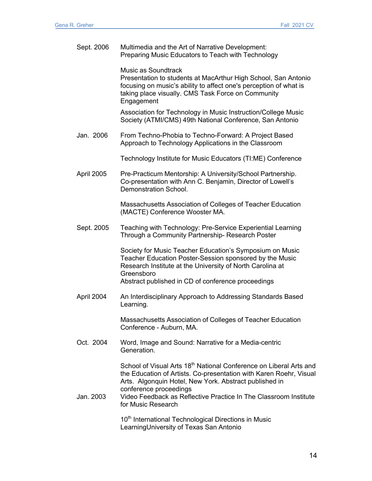| Sept. 2006 | Multimedia and the Art of Narrative Development:<br>Preparing Music Educators to Teach with Technology                                                                                                                                                                                                                             |
|------------|------------------------------------------------------------------------------------------------------------------------------------------------------------------------------------------------------------------------------------------------------------------------------------------------------------------------------------|
|            | Music as Soundtrack<br>Presentation to students at MacArthur High School, San Antonio<br>focusing on music's ability to affect one's perception of what is<br>taking place visually. CMS Task Force on Community<br>Engagement                                                                                                     |
|            | Association for Technology in Music Instruction/College Music<br>Society (ATMI/CMS) 49th National Conference, San Antonio                                                                                                                                                                                                          |
| Jan. 2006  | From Techno-Phobia to Techno-Forward: A Project Based<br>Approach to Technology Applications in the Classroom                                                                                                                                                                                                                      |
|            | Technology Institute for Music Educators (TI:ME) Conference                                                                                                                                                                                                                                                                        |
| April 2005 | Pre-Practicum Mentorship: A University/School Partnership.<br>Co-presentation with Ann C. Benjamin, Director of Lowell's<br>Demonstration School.                                                                                                                                                                                  |
|            | Massachusetts Association of Colleges of Teacher Education<br>(MACTE) Conference Wooster MA.                                                                                                                                                                                                                                       |
| Sept. 2005 | Teaching with Technology: Pre-Service Experiential Learning<br>Through a Community Partnership- Research Poster                                                                                                                                                                                                                    |
|            | Society for Music Teacher Education's Symposium on Music<br>Teacher Education Poster-Session sponsored by the Music<br>Research Institute at the University of North Carolina at<br>Greensboro                                                                                                                                     |
|            | Abstract published in CD of conference proceedings                                                                                                                                                                                                                                                                                 |
| April 2004 | An Interdisciplinary Approach to Addressing Standards Based<br>Learning.                                                                                                                                                                                                                                                           |
|            | Massachusetts Association of Colleges of Teacher Education<br>Conference - Auburn, MA.                                                                                                                                                                                                                                             |
| Oct. 2004  | Word, Image and Sound: Narrative for a Media-centric<br>Generation.                                                                                                                                                                                                                                                                |
| Jan. 2003  | School of Visual Arts 18 <sup>th</sup> National Conference on Liberal Arts and<br>the Education of Artists. Co-presentation with Karen Roehr, Visual<br>Arts. Algonquin Hotel, New York. Abstract published in<br>conference proceedings<br>Video Feedback as Reflective Practice In The Classroom Institute<br>for Music Research |
|            | 10 <sup>th</sup> International Technological Directions in Music<br>Learning University of Texas San Antonio                                                                                                                                                                                                                       |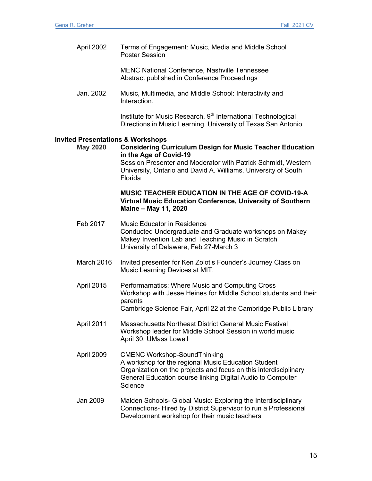April 2002 Terms of Engagement: Music, Media and Middle School Poster Session

> MENC National Conference, Nashville Tennessee Abstract published in Conference Proceedings

Jan. 2002 Music, Multimedia, and Middle School: Interactivity and Interaction.

> Institute for Music Research, 9<sup>th</sup> International Technological Directions in Music Learning, University of Texas San Antonio

#### **Invited Presentations & Workshops**

**May 2020 Considering Curriculum Design for Music Teacher Education in the Age of Covid-19** Session Presenter and Moderator with Patrick Schmidt, Western University, Ontario and David A. Williams, University of South Florida

### **MUSIC TEACHER EDUCATION IN THE AGE OF COVID-19-A Virtual Music Education Conference, University of Southern Maine – May 11, 2020**

- Feb 2017 Music Educator in Residence Conducted Undergraduate and Graduate workshops on Makey Makey Invention Lab and Teaching Music in Scratch University of Delaware, Feb 27-March 3
- March 2016 Invited presenter for Ken Zolot's Founder's Journey Class on Music Learning Devices at MIT.
- April 2015 Performamatics: Where Music and Computing Cross Workshop with Jesse Heines for Middle School students and their parents Cambridge Science Fair, April 22 at the Cambridge Public Library
- April 2011 Massachusetts Northeast District General Music Festival Workshop leader for Middle School Session in world music April 30, UMass Lowell
- April 2009 CMENC Workshop-SoundThinking A workshop for the regional Music Education Student Organization on the projects and focus on this interdisciplinary General Education course linking Digital Audio to Computer **Science**
- Jan 2009 Malden Schools- Global Music: Exploring the Interdisciplinary Connections- Hired by District Supervisor to run a Professional Development workshop for their music teachers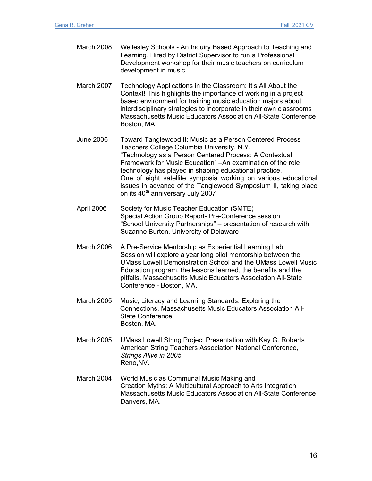| March 2008        | Wellesley Schools - An Inquiry Based Approach to Teaching and<br>Learning. Hired by District Supervisor to run a Professional<br>Development workshop for their music teachers on curriculum<br>development in music                                                                                                                                                                                                                                                           |
|-------------------|--------------------------------------------------------------------------------------------------------------------------------------------------------------------------------------------------------------------------------------------------------------------------------------------------------------------------------------------------------------------------------------------------------------------------------------------------------------------------------|
| March 2007        | Technology Applications in the Classroom: It's All About the<br>Context! This highlights the importance of working in a project<br>based environment for training music education majors about<br>interdisciplinary strategies to incorporate in their own classrooms<br>Massachusetts Music Educators Association All-State Conference<br>Boston, MA.                                                                                                                         |
| <b>June 2006</b>  | Toward Tanglewood II: Music as a Person Centered Process<br>Teachers College Columbia University, N.Y.<br>"Technology as a Person Centered Process: A Contextual<br>Framework for Music Education" - An examination of the role<br>technology has played in shaping educational practice.<br>One of eight satellite symposia working on various educational<br>issues in advance of the Tanglewood Symposium II, taking place<br>on its 40 <sup>th</sup> anniversary July 2007 |
| April 2006        | Society for Music Teacher Education (SMTE)<br>Special Action Group Report- Pre-Conference session<br>"School University Partnerships" - presentation of research with<br>Suzanne Burton, University of Delaware                                                                                                                                                                                                                                                                |
| March 2006        | A Pre-Service Mentorship as Experiential Learning Lab<br>Session will explore a year long pilot mentorship between the<br><b>UMass Lowell Demonstration School and the UMass Lowell Music</b><br>Education program, the lessons learned, the benefits and the<br>pitfalls. Massachusetts Music Educators Association All-State<br>Conference - Boston, MA.                                                                                                                     |
| <b>March 2005</b> | Music, Literacy and Learning Standards: Exploring the<br>Connections. Massachusetts Music Educators Association All-<br><b>State Conference</b><br>Boston, MA.                                                                                                                                                                                                                                                                                                                 |

- March 2005 UMass Lowell String Project Presentation with Kay G. Roberts American String Teachers Association National Conference, *Strings Alive in 2005* Reno,NV.
- March 2004 World Music as Communal Music Making and Creation Myths: A Multicultural Approach to Arts Integration Massachusetts Music Educators Association All-State Conference Danvers, MA.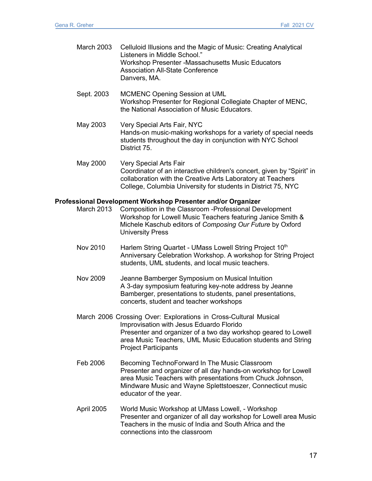| <b>March 2003</b> | Celluloid Illusions and the Magic of Music: Creating Analytical<br>Listeners in Middle School."<br>Workshop Presenter - Massachusetts Music Educators<br><b>Association All-State Conference</b><br>Danvers, MA.                                                               |
|-------------------|--------------------------------------------------------------------------------------------------------------------------------------------------------------------------------------------------------------------------------------------------------------------------------|
| Sept. 2003        | <b>MCMENC Opening Session at UML</b><br>Workshop Presenter for Regional Collegiate Chapter of MENC,<br>the National Association of Music Educators.                                                                                                                            |
| May 2003          | Very Special Arts Fair, NYC<br>Hands-on music-making workshops for a variety of special needs<br>students throughout the day in conjunction with NYC School<br>District 75.                                                                                                    |
| May 2000          | Very Special Arts Fair<br>Coordinator of an interactive children's concert, given by "Spirit" in<br>collaboration with the Creative Arts Laboratory at Teachers<br>College, Columbia University for students in District 75, NYC                                               |
| March 2013        | Professional Development Workshop Presenter and/or Organizer<br>Composition in the Classroom - Professional Development<br>Workshop for Lowell Music Teachers featuring Janice Smith &<br>Michele Kaschub editors of Composing Our Future by Oxford<br><b>University Press</b> |
| Nov 2010          | Harlem String Quartet - UMass Lowell String Project 10th<br>Anniversary Celebration Workshop. A workshop for String Project                                                                                                                                                    |

Nov 2009 Jeanne Bamberger Symposium on Musical Intuition A 3-day symposium featuring key-note address by Jeanne Bamberger, presentations to students, panel presentations, concerts, student and teacher workshops

students, UML students, and local music teachers.

- March 2006 Crossing Over: Explorations in Cross-Cultural Musical Improvisation with Jesus Eduardo Florido Presenter and organizer of a two day workshop geared to Lowell area Music Teachers, UML Music Education students and String Project Participants
- Feb 2006 Becoming TechnoForward In The Music Classroom Presenter and organizer of all day hands-on workshop for Lowell area Music Teachers with presentations from Chuck Johnson, Mindware Music and Wayne Splettstoeszer, Connecticut music educator of the year.
- April 2005 World Music Workshop at UMass Lowell, Workshop Presenter and organizer of all day workshop for Lowell area Music Teachers in the music of India and South Africa and the connections into the classroom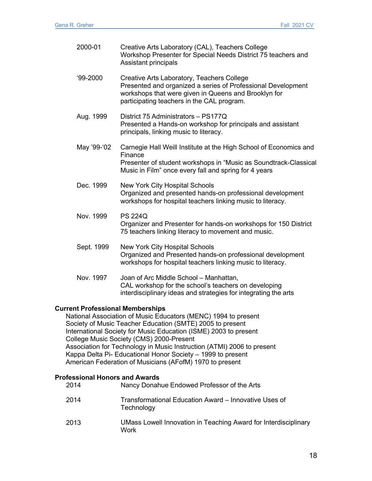| 2000-01     | Creative Arts Laboratory (CAL), Teachers College<br>Workshop Presenter for Special Needs District 75 teachers and<br><b>Assistant principals</b>                                                                 |
|-------------|------------------------------------------------------------------------------------------------------------------------------------------------------------------------------------------------------------------|
| $99-2000$   | Creative Arts Laboratory, Teachers College<br>Presented and organized a series of Professional Development<br>workshops that were given in Queens and Brooklyn for<br>participating teachers in the CAL program. |
| Aug. 1999   | District 75 Administrators - PS177Q<br>Presented a Hands-on workshop for principals and assistant<br>principals, linking music to literacy.                                                                      |
| May '99-'02 | Carnegie Hall Weill Institute at the High School of Economics and<br>Finance<br>Presenter of student workshops in "Music as Soundtrack-Classical<br>Music in Film" once every fall and spring for 4 years        |
| Dec. 1999   | <b>New York City Hospital Schools</b><br>Organized and presented hands-on professional development<br>workshops for hospital teachers linking music to literacy.                                                 |
| Nov. 1999   | <b>PS 224Q</b><br>Organizer and Presenter for hands-on workshops for 150 District<br>75 teachers linking literacy to movement and music.                                                                         |
| Sept. 1999  | <b>New York City Hospital Schools</b><br>Organized and Presented hands-on professional development<br>workshops for hospital teachers linking music to literacy.                                                 |
| Nov. 1997   | Joan of Arc Middle School - Manhattan,<br>CAL workshop for the school's teachers on developing<br>interdisciplinary ideas and strategies for integrating the arts                                                |

### **Current Professional Memberships**

National Association of Music Educators (MENC) 1994 to present Society of Music Teacher Education (SMTE) 2005 to present International Society for Music Education (ISME) 2003 to present College Music Society (CMS) 2000-Present Association for Technology in Music Instruction (ATMI) 2006 to present Kappa Delta Pi- Educational Honor Society – 1999 to present American Federation of Musicians (AFofM) 1970 to present

### **Professional Honors and Awards**

| 2014 | Nancy Donahue Endowed Professor of the Arts                             |
|------|-------------------------------------------------------------------------|
| 2014 | Transformational Education Award - Innovative Uses of<br>Technology     |
| 2013 | UMass Lowell Innovation in Teaching Award for Interdisciplinary<br>Work |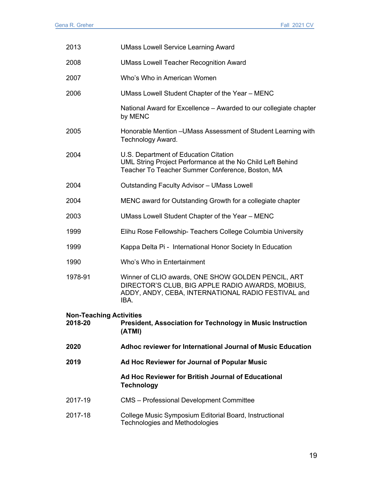| 2013                                                                                                                     | <b>UMass Lowell Service Learning Award</b>                                                                                                                           |  |
|--------------------------------------------------------------------------------------------------------------------------|----------------------------------------------------------------------------------------------------------------------------------------------------------------------|--|
| 2008                                                                                                                     | <b>UMass Lowell Teacher Recognition Award</b>                                                                                                                        |  |
| 2007                                                                                                                     | Who's Who in American Women                                                                                                                                          |  |
| 2006                                                                                                                     | UMass Lowell Student Chapter of the Year - MENC                                                                                                                      |  |
|                                                                                                                          | National Award for Excellence – Awarded to our collegiate chapter<br>by MENC                                                                                         |  |
| 2005                                                                                                                     | Honorable Mention - UMass Assessment of Student Learning with<br>Technology Award.                                                                                   |  |
| 2004                                                                                                                     | U.S. Department of Education Citation<br>UML String Project Performance at the No Child Left Behind<br>Teacher To Teacher Summer Conference, Boston, MA              |  |
| 2004                                                                                                                     | <b>Outstanding Faculty Advisor - UMass Lowell</b>                                                                                                                    |  |
| 2004                                                                                                                     | MENC award for Outstanding Growth for a collegiate chapter                                                                                                           |  |
| 2003                                                                                                                     | UMass Lowell Student Chapter of the Year - MENC                                                                                                                      |  |
| 1999                                                                                                                     | Elihu Rose Fellowship- Teachers College Columbia University                                                                                                          |  |
| 1999                                                                                                                     | Kappa Delta Pi - International Honor Society In Education                                                                                                            |  |
| 1990                                                                                                                     | Who's Who in Entertainment                                                                                                                                           |  |
| 1978-91                                                                                                                  | Winner of CLIO awards, ONE SHOW GOLDEN PENCIL, ART<br>DIRECTOR'S CLUB, BIG APPLE RADIO AWARDS, MOBIUS,<br>ADDY, ANDY, CEBA, INTERNATIONAL RADIO FESTIVAL and<br>IBA. |  |
| <b>Non-Teaching Activities</b><br>2018-20<br><b>President, Association for Technology in Music Instruction</b><br>(ATMI) |                                                                                                                                                                      |  |
| 2020                                                                                                                     | Adhoc reviewer for International Journal of Music Education                                                                                                          |  |
| 2019                                                                                                                     | Ad Hoc Reviewer for Journal of Popular Music                                                                                                                         |  |
|                                                                                                                          | Ad Hoc Reviewer for British Journal of Educational<br><b>Technology</b>                                                                                              |  |
| 2017-19                                                                                                                  | <b>CMS</b> - Professional Development Committee                                                                                                                      |  |
| 2017-18                                                                                                                  | College Music Symposium Editorial Board, Instructional<br><b>Technologies and Methodologies</b>                                                                      |  |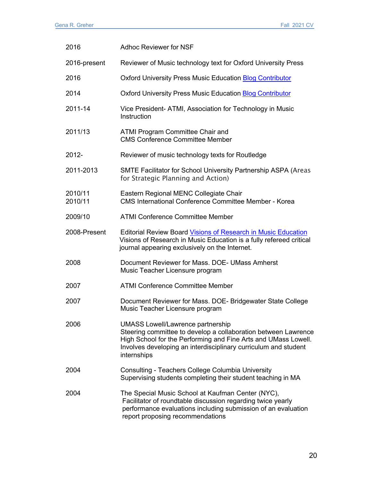| 2016               | <b>Adhoc Reviewer for NSF</b>                                                                                                                                                                                                                                  |
|--------------------|----------------------------------------------------------------------------------------------------------------------------------------------------------------------------------------------------------------------------------------------------------------|
| 2016-present       | Reviewer of Music technology text for Oxford University Press                                                                                                                                                                                                  |
| 2016               | <b>Oxford University Press Music Education Blog Contributor</b>                                                                                                                                                                                                |
| 2014               | <b>Oxford University Press Music Education Blog Contributor</b>                                                                                                                                                                                                |
| 2011-14            | Vice President- ATMI, Association for Technology in Music<br>Instruction                                                                                                                                                                                       |
| 2011/13            | <b>ATMI Program Committee Chair and</b><br><b>CMS Conference Committee Member</b>                                                                                                                                                                              |
| 2012-              | Reviewer of music technology texts for Routledge                                                                                                                                                                                                               |
| 2011-2013          | SMTE Facilitator for School University Partnership ASPA (Areas<br>for Strategic Planning and Action)                                                                                                                                                           |
| 2010/11<br>2010/11 | Eastern Regional MENC Collegiate Chair<br><b>CMS International Conference Committee Member - Korea</b>                                                                                                                                                         |
| 2009/10            | <b>ATMI Conference Committee Member</b>                                                                                                                                                                                                                        |
| 2008-Present       | <b>Editorial Review Board Visions of Research in Music Education</b><br>Visions of Research in Music Education is a fully refereed critical<br>journal appearing exclusively on the Internet.                                                                  |
| 2008               | Document Reviewer for Mass. DOE- UMass Amherst<br>Music Teacher Licensure program                                                                                                                                                                              |
| 2007               | <b>ATMI Conference Committee Member</b>                                                                                                                                                                                                                        |
| 2007               | Document Reviewer for Mass. DOE-Bridgewater State College<br>Music Teacher Licensure program                                                                                                                                                                   |
| 2006               | <b>UMASS Lowell/Lawrence partnership</b><br>Steering committee to develop a collaboration between Lawrence<br>High School for the Performing and Fine Arts and UMass Lowell.<br>Involves developing an interdisciplinary curriculum and student<br>internships |
| 2004               | Consulting - Teachers College Columbia University<br>Supervising students completing their student teaching in MA                                                                                                                                              |
| 2004               | The Special Music School at Kaufman Center (NYC),<br>Facilitator of roundtable discussion regarding twice yearly<br>performance evaluations including submission of an evaluation<br>report proposing recommendations                                          |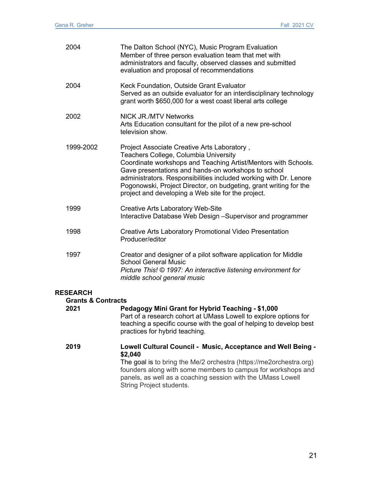| 2004                                                     | The Dalton School (NYC), Music Program Evaluation<br>Member of three person evaluation team that met with<br>administrators and faculty, observed classes and submitted<br>evaluation and proposal of recommendations                                                                                                                                                                                         |
|----------------------------------------------------------|---------------------------------------------------------------------------------------------------------------------------------------------------------------------------------------------------------------------------------------------------------------------------------------------------------------------------------------------------------------------------------------------------------------|
| 2004                                                     | Keck Foundation, Outside Grant Evaluator<br>Served as an outside evaluator for an interdisciplinary technology<br>grant worth \$650,000 for a west coast liberal arts college                                                                                                                                                                                                                                 |
| 2002                                                     | <b>NICK JR./MTV Networks</b><br>Arts Education consultant for the pilot of a new pre-school<br>television show.                                                                                                                                                                                                                                                                                               |
| 1999-2002                                                | Project Associate Creative Arts Laboratory,<br>Teachers College, Columbia University<br>Coordinate workshops and Teaching Artist/Mentors with Schools.<br>Gave presentations and hands-on workshops to school<br>administrators. Responsibilities included working with Dr. Lenore<br>Pogonowski, Project Director, on budgeting, grant writing for the<br>project and developing a Web site for the project. |
| 1999                                                     | <b>Creative Arts Laboratory Web-Site</b><br>Interactive Database Web Design -Supervisor and programmer                                                                                                                                                                                                                                                                                                        |
| 1998                                                     | Creative Arts Laboratory Promotional Video Presentation<br>Producer/editor                                                                                                                                                                                                                                                                                                                                    |
| 1997                                                     | Creator and designer of a pilot software application for Middle<br><b>School General Music</b><br>Picture This! © 1997: An interactive listening environment for<br>middle school general music                                                                                                                                                                                                               |
| <b>RESEARCH</b><br><b>Grants &amp; Contracts</b><br>2021 | Pedagogy Mini Grant for Hybrid Teaching - \$1,000<br>Part of a research cohort at UMass Lowell to explore options for<br>teaching a specific course with the goal of helping to develop best<br>practices for hybrid teaching.                                                                                                                                                                                |
| 2019                                                     | Lowell Cultural Council - Music, Acceptance and Well Being -<br>\$2,040<br>The goal is to bring the Me/2 orchestra (https://me2orchestra.org)<br>founders along with some members to campus for workshops and<br>panels, as well as a coaching session with the UMass Lowell<br>String Project students.                                                                                                      |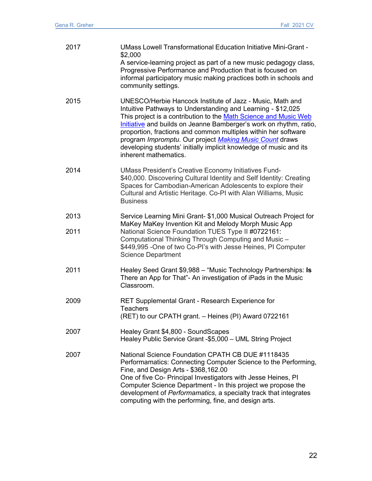| 2017         | <b>UMass Lowell Transformational Education Initiative Mini-Grant -</b><br>\$2,000<br>A service-learning project as part of a new music pedagogy class,<br>Progressive Performance and Production that is focused on<br>informal participatory music making practices both in schools and<br>community settings.                                                                                                                                                                                |
|--------------|------------------------------------------------------------------------------------------------------------------------------------------------------------------------------------------------------------------------------------------------------------------------------------------------------------------------------------------------------------------------------------------------------------------------------------------------------------------------------------------------|
| 2015         | UNESCO/Herbie Hancock Institute of Jazz - Music, Math and<br>Intuitive Pathways to Understanding and Learning - \$12,025<br>This project is a contribution to the Math Science and Music Web<br>Initiative and builds on Jeanne Bamberger's work on rhythm, ratio,<br>proportion, fractions and common multiples within her software<br>program Impromptu. Our project Making Music Count draws<br>developing students' initially implicit knowledge of music and its<br>inherent mathematics. |
| 2014         | <b>UMass President's Creative Economy Initiatives Fund-</b><br>\$40,000. Discovering Cultural Identity and Self Identity: Creating<br>Spaces for Cambodian-American Adolescents to explore their<br>Cultural and Artistic Heritage. Co-PI with Alan Williams, Music<br><b>Business</b>                                                                                                                                                                                                         |
| 2013<br>2011 | Service Learning Mini Grant- \$1,000 Musical Outreach Project for<br>MaKey MaKey Invention Kit and Melody Morph Music App<br>National Science Foundation TUES Type II #0722161:<br>Computational Thinking Through Computing and Music -<br>\$449,995 - One of two Co-PI's with Jesse Heines, PI Computer<br><b>Science Department</b>                                                                                                                                                          |
| 2011         | Healey Seed Grant \$9,988 - "Music Technology Partnerships: Is<br>There an App for That"- An investigation of iPads in the Music<br>Classroom.                                                                                                                                                                                                                                                                                                                                                 |
| 2009         | RET Supplemental Grant - Research Experience for<br><b>Teachers</b><br>(RET) to our CPATH grant. - Heines (PI) Award 0722161                                                                                                                                                                                                                                                                                                                                                                   |
| 2007         | Healey Grant \$4,800 - SoundScapes<br>Healey Public Service Grant -\$5,000 - UML String Project                                                                                                                                                                                                                                                                                                                                                                                                |
| 2007         | National Science Foundation CPATH CB DUE #1118435<br>Performamatics: Connecting Computer Science to the Performing,<br>Fine, and Design Arts - \$368,162.00<br>One of five Co- Principal Investigators with Jesse Heines, PI<br>Computer Science Department - In this project we propose the<br>development of Performamatics, a specialty track that integrates<br>computing with the performing, fine, and design arts.                                                                      |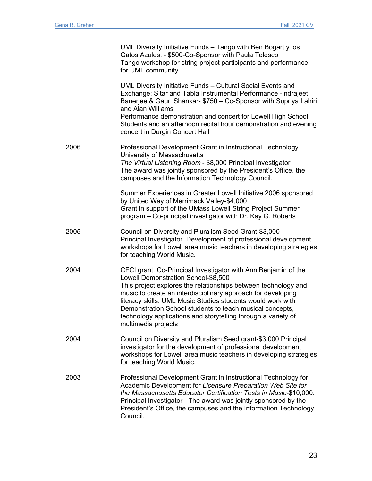|      | UML Diversity Initiative Funds - Tango with Ben Bogart y los<br>Gatos Azules. - \$500-Co-Sponsor with Paula Telesco<br>Tango workshop for string project participants and performance<br>for UML community.                                                                                                                                                                                                                                                |
|------|------------------------------------------------------------------------------------------------------------------------------------------------------------------------------------------------------------------------------------------------------------------------------------------------------------------------------------------------------------------------------------------------------------------------------------------------------------|
|      | UML Diversity Initiative Funds - Cultural Social Events and<br>Exchange: Sitar and Tabla Instrumental Performance -Indrajeet<br>Banerjee & Gauri Shankar- \$750 - Co-Sponsor with Supriya Lahiri<br>and Alan Williams<br>Performance demonstration and concert for Lowell High School<br>Students and an afternoon recital hour demonstration and evening<br>concert in Durgin Concert Hall                                                                |
| 2006 | Professional Development Grant in Instructional Technology<br>University of Massachusetts<br>The Virtual Listening Room - \$8,000 Principal Investigator<br>The award was jointly sponsored by the President's Office, the<br>campuses and the Information Technology Council.                                                                                                                                                                             |
|      | Summer Experiences in Greater Lowell Initiative 2006 sponsored<br>by United Way of Merrimack Valley-\$4,000<br>Grant in support of the UMass Lowell String Project Summer<br>program – Co-principal investigator with Dr. Kay G. Roberts                                                                                                                                                                                                                   |
| 2005 | Council on Diversity and Pluralism Seed Grant-\$3,000<br>Principal Investigator. Development of professional development<br>workshops for Lowell area music teachers in developing strategies<br>for teaching World Music.                                                                                                                                                                                                                                 |
| 2004 | CFCI grant. Co-Principal Investigator with Ann Benjamin of the<br>Lowell Demonstration School-\$8,500<br>This project explores the relationships between technology and<br>music to create an interdisciplinary approach for developing<br>literacy skills. UML Music Studies students would work with<br>Demonstration School students to teach musical concepts,<br>technology applications and storytelling through a variety of<br>multimedia projects |
| 2004 | Council on Diversity and Pluralism Seed grant-\$3,000 Principal<br>investigator for the development of professional development<br>workshops for Lowell area music teachers in developing strategies<br>for teaching World Music.                                                                                                                                                                                                                          |
| 2003 | Professional Development Grant in Instructional Technology for<br>Academic Development for Licensure Preparation Web Site for<br>the Massachusetts Educator Certification Tests in Music-\$10,000.<br>Principal Investigator - The award was jointly sponsored by the<br>President's Office, the campuses and the Information Technology<br>Council.                                                                                                       |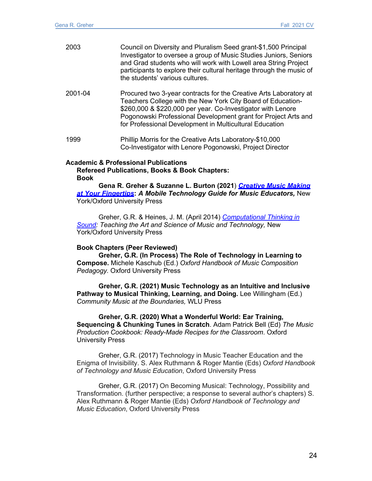| 2003    | Council on Diversity and Pluralism Seed grant-\$1,500 Principal<br>Investigator to oversee a group of Music Studies Juniors, Seniors<br>and Grad students who will work with Lowell area String Project<br>participants to explore their cultural heritage through the music of<br>the students' various cultures.           |
|---------|------------------------------------------------------------------------------------------------------------------------------------------------------------------------------------------------------------------------------------------------------------------------------------------------------------------------------|
| 2001-04 | Procured two 3-year contracts for the Creative Arts Laboratory at<br>Teachers College with the New York City Board of Education-<br>\$260,000 & \$220,000 per year. Co-Investigator with Lenore<br>Pogonowski Professional Development grant for Project Arts and<br>for Professional Development in Multicultural Education |
| 1999    | Phillip Morris for the Creative Arts Laboratory-\$10,000<br>Co-Investigator with Lenore Pogonowski, Project Director                                                                                                                                                                                                         |

### **Academic & Professional Publications**

**Refereed Publications, Books & Book Chapters: Book**

**Gena R. Greher & Suzanne L. Burton (2021**) *Creative Music Making at Your Fingertips***:** *A Mobile Technology Guide for Music Educators,* New York/Oxford University Press

Greher, G.R. & Heines, J. M. (April 2014) *Computational Thinking in Sound: Teaching the Art and Science of Music and Technology,* New York/Oxford University Press

### **Book Chapters (Peer Reviewed)**

**Greher, G.R. (In Process) The Role of Technology in Learning to Compose.** Michele Kaschub (Ed.) *Oxford Handbook of Music Composition Pedagogy.* Oxford University Press

**Greher, G.R. (2021) Music Technology as an Intuitive and Inclusive** Pathway to Musical Thinking, Learning, and Doing. Lee Willingham (Ed.) *Community Music at the Boundaries,* WLU Press

**Greher, G.R. (2020) What a Wonderful World: Ear Training, Sequencing & Chunking Tunes in Scratch**. Adam Patrick Bell (Ed) *The Music Production Cookbook: Ready-Made Recipes for the Classroom*. Oxford University Press

Greher, G.R. (2017) Technology in Music Teacher Education and the Enigma of Invisibility. S. Alex Ruthmann & Roger Mantie (Eds) *Oxford Handbook of Technology and Music Education*, Oxford University Press

Greher, G.R. (2017) On Becoming Musical: Technology, Possibility and Transformation. (further perspective; a response to several author's chapters) S. Alex Ruthmann & Roger Mantie (Eds) *Oxford Handbook of Technology and Music Education*, Oxford University Press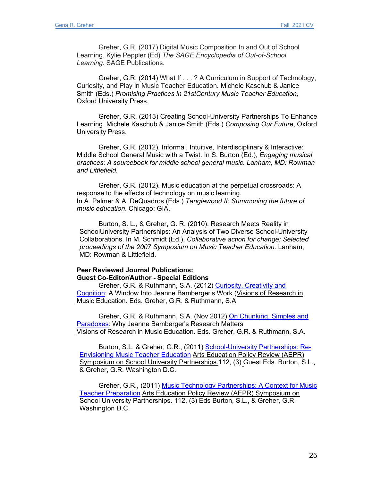Greher, G.R. (2017) Digital Music Composition In and Out of School Learning. Kylie Peppler (Ed) *The SAGE Encyclopedia of Out-of-School Learning*. SAGE Publications.

Greher, G.R. (2014) What If . . . ? A Curriculum in Support of Technology, Curiosity, and Play in Music Teacher Education. Michele Kaschub & Janice Smith (Eds.) *Promising Practices in 21stCentury Music Teacher Education,* Oxford University Press.

Greher, G.R. (2013) Creating School-University Partnerships To Enhance Learning. Michele Kaschub & Janice Smith (Eds.) *Composing Our Future*, Oxford University Press.

Greher, G.R. (2012). Informal, Intuitive, Interdisciplinary & Interactive: Middle School General Music with a Twist. In S. Burton (Ed.), *Engaging musical practices: A sourcebook for middle school general music. Lanham, MD: Rowman and Littlefield.*

Greher, G.R. (2012). Music education at the perpetual crossroads: A response to the effects of technology on music learning. In A. Palmer & A. DeQuadros (Eds.) *Tanglewood II: Summoning the future of music education*. Chicago: GIA.

Burton, S. L., & Greher, G. R. (2010). Research Meets Reality in SchoolUniversity Partnerships: An Analysis of Two Diverse School-University Collaborations. In M. Schmidt (Ed.), *Collaborative action for change: Selected proceedings of the 2007 Symposium on Music Teacher Education*. Lanham, MD: Rowman & Littlefield.

### **Peer Reviewed Journal Publications: Guest Co-Editor/Author - Special Editions**

Greher, G.R. & Ruthmann, S.A. (2012) Curiosity, Creativity and Cognition: A Window Into Jeanne Bamberger's Work (Visions of Research in Music Education. Eds. Greher, G.R. & Ruthmann, S.A

Greher, G.R. & Ruthmann, S.A. (Nov 2012) On Chunking, Simples and Paradoxes: Why Jeanne Bamberger's Research Matters Visions of Research in Music Education. Eds. Greher, G.R. & Ruthmann, S.A.

Burton, S.L. & Greher, G.R., (2011) School-University Partnerships: Re-Envisioning Music Teacher Education Arts Education Policy Review (AEPR) Symposium on School University Partnerships.112, (3) Guest Eds. Burton, S.L., & Greher, G.R. Washington D.C.

Greher, G.R., (2011) Music Technology Partnerships: A Context for Music Teacher Preparation Arts Education Policy Review (AEPR) Symposium on School University Partnerships. 112, (3) Eds Burton, S.L., & Greher, G.R. Washington D.C.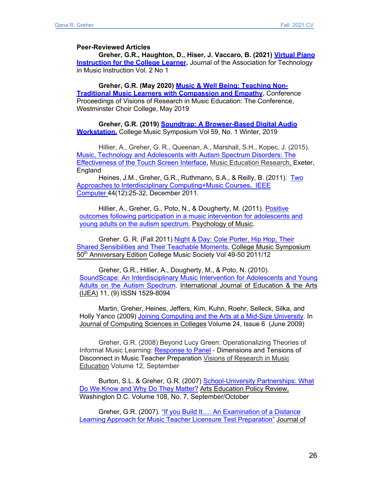#### **Peer-Reviewed Articles**

**Greher, G.R., Haughton, D., Hiser, J. Vaccaro, B. (2021) Virtual Piano Instruction for the College Learner.** Journal of the Association for Technology in Music Instruction Vol. 2 No 1

**Greher, G.R. (May 2020) Music & Well Being: Teaching Non-Traditional Music Learners with Compassion and Empathy.** Conference Proceedings of Visions of Research in Music Education: The Conference, Westminster Choir College, May 2019

**Greher, G.R. (2019) Soundtrap: A Browser-Based Digital Audio Workstation.** College Music Symposium Vol 59, No. 1 Winter, 2019

Hillier, A., Greher, G. R., Queenan, A., Marshall, S.H., Kopec, J. (2015). Music, Technology and Adolescents with Autism Spectrum Disorders: The Effectiveness of the Touch Screen Interface**.** Music Education Research, Exeter, **England** 

Heines, J.M., Greher, G.R., Ruthmann, S.A., & Reilly, B. (2011). Two Approaches to Interdisciplinary Computing+Music Courses**.** IEEE Computer 44(12):25-32, December 2011.

Hillier, A., Greher, G., Poto, N., & Dougherty, M. (2011). Positive outcomes following participation in a music intervention for adolescents and young adults on the autism spectrum. Psychology of Music.

Greher. G. R. (Fall 2011) Night & Day: Cole Porter, Hip Hop, Their Shared Sensibilities and Their Teachable Moments, College Music Symposium 50th Anniversary Edition College Music Society Vol 49-50 2011/12

Greher, G.R., Hillier, A., Dougherty, M., & Poto, N. (2010). SoundScape: An Interdisciplinary Music Intervention for Adolescents and Young Adults on the Autism Spectrum. International Journal of Education & the Arts (IJEA) 11, (9) ISSN 1529-8094

Martin, Greher, Heines, Jeffers, Kim, Kuhn, Roehr, Selleck, Silka, and Holly Yanco (2009) Joining Computing and the Arts at a Mid-Size University. In Journal of Computing Sciences in Colleges Volume 24, Issue 6 (June 2009)

Greher, G.R. (2008) Beyond Lucy Green: Operationalizing Theories of Informal Music Learning: Response to Panel - Dimensions and Tensions of Disconnect in Music Teacher Preparation Visions of Research in Music Education Volume 12, September

Burton, S.L. & Greher, G.R. (2007) School-University Partnerships: What Do We Know and Why Do They Matter? Arts Education Policy Review, Washington D.C. Volume 108, No. 7, September/October

Greher, G.R. (2007). "If you Build It…: An Examination of a Distance Learning Approach for Music Teacher Licensure Test Preparation" Journal of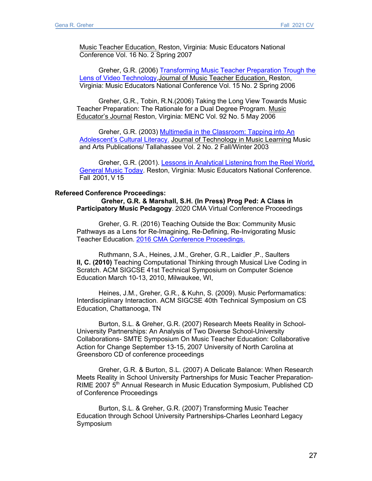Music Teacher Education, Reston, Virginia: Music Educators National Conference Vol. 16 No. 2 Spring 2007

Greher, G.R. (2006) Transforming Music Teacher Preparation Trough the Lens of Video Technology,Journal of Music Teacher Education, Reston, Virginia: Music Educators National Conference Vol. 15 No. 2 Spring 2006

Greher, G.R., Tobin, R.N.(2006) Taking the Long View Towards Music Teacher Preparation: The Rationale for a Dual Degree Program. Music Educator's Journal Reston, Virginia: MENC Vol. 92 No. 5 May 2006

Greher, G.R. (2003) Multimedia in the Classroom: Tapping into An Adolescent's Cultural Literacy. Journal of Technology in Music Learning Music and Arts Publications/ Tallahassee Vol. 2 No. 2 Fall/Winter 2003

Greher, G.R. (2001). Lessons in Analytical Listening from the Reel World, General Music Today. Reston, Virginia: Music Educators National Conference. Fall 2001, V 15

#### **Refereed Conference Proceedings:**

**Greher, G.R. & Marshall, S.H. (In Press) Prog Ped: A Class in Participatory Music Pedagogy**. 2020 CMA Virtual Conference Proceedings

Greher, G. R. (2016) Teaching Outside the Box: Community Music Pathways as a Lens for Re-Imagining, Re-Defining, Re-Invigorating Music Teacher Education. 2016 CMA Conference Proceedings.

Ruthmann, S.A., Heines, J.M., Greher, G.R., Laidler ,P., Saulters **II, C. (2010)** Teaching Computational Thinking through Musical Live Coding in Scratch. ACM SIGCSE 41st Technical Symposium on Computer Science Education March 10-13, 2010, Milwaukee, WI,

Heines, J.M., Greher, G.R., & Kuhn, S. (2009). Music Performamatics: Interdisciplinary Interaction. ACM SIGCSE 40th Technical Symposium on CS Education, Chattanooga, TN

Burton, S.L. & Greher, G.R. (2007) Research Meets Reality in School-University Partnerships: An Analysis of Two Diverse School-University Collaborations- SMTE Symposium On Music Teacher Education: Collaborative Action for Change September 13-15, 2007 University of North Carolina at Greensboro CD of conference proceedings

Greher, G.R. & Burton, S.L. (2007) A Delicate Balance: When Research Meets Reality in School University Partnerships for Music Teacher Preparation-RIME 2007 5<sup>th</sup> Annual Research in Music Education Symposium, Published CD of Conference Proceedings

Burton, S.L. & Greher, G.R. (2007) Transforming Music Teacher Education through School University Partnerships-Charles Leonhard Legacy Symposium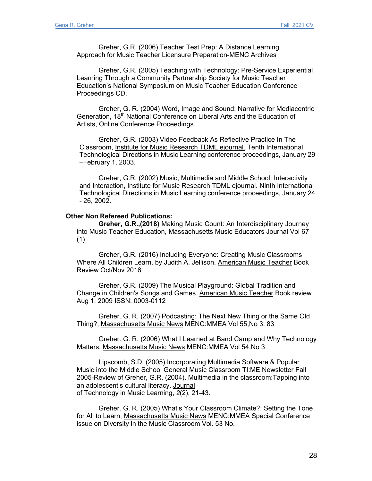Greher, G.R. (2006) Teacher Test Prep: A Distance Learning Approach for Music Teacher Licensure Preparation-MENC Archives

Greher, G.R. (2005) Teaching with Technology: Pre-Service Experiential Learning Through a Community Partnership Society for Music Teacher Education's National Symposium on Music Teacher Education Conference Proceedings CD.

Greher, G. R. (2004) Word, Image and Sound: Narrative for Mediacentric Generation, 18<sup>th</sup> National Conference on Liberal Arts and the Education of Artists, Online Conference Proceedings.

Greher, G.R. (2003) Video Feedback As Reflective Practice In The Classroom, Institute for Music Research TDML ejournal. Tenth International Technological Directions in Music Learning conference proceedings, January 29 –February 1, 2003.

Greher, G.R. (2002) Music, Multimedia and Middle School: Interactivity and Interaction, Institute for Music Research TDML ejournal. Ninth International Technological Directions in Music Learning conference proceedings, January 24 - 26, 2002.

#### **Other Non Refereed Publications:**

**Greher, G.R.,(2018)** Making Music Count: An Interdisciplinary Journey into Music Teacher Education, Massachusetts Music Educators Journal Vol 67 (1)

Greher, G.R. (2016) Including Everyone: Creating Music Classrooms Where All Children Learn, by Judith A. Jellison. American Music Teacher Book Review Oct/Nov 2016

Greher, G.R. (2009) The Musical Playground: Global Tradition and Change in Children's Songs and Games. American Music Teacher Book review Aug 1, 2009 ISSN: 0003-0112

Greher. G. R. (2007) Podcasting: The Next New Thing or the Same Old Thing?, Massachusetts Music News MENC:MMEA Vol 55,No 3: 83

Greher. G. R. (2006) What I Learned at Band Camp and Why Technology Matters, Massachusetts Music News MENC:MMEA Vol 54,No 3

Lipscomb, S.D. (2005) Incorporating Multimedia Software & Popular Music into the Middle School General Music Classroom TI:ME Newsletter Fall 2005-Review of Greher, G.R. (2004). Multimedia in the classroom:Tapping into an adolescent's cultural literacy. Journal of Technology in Music Learning, *2*(2), 21-43.

Greher. G. R. (2005) What's Your Classroom Climate?: Setting the Tone for All to Learn, Massachusetts Music News MENC:MMEA Special Conference issue on Diversity in the Music Classroom Vol. 53 No.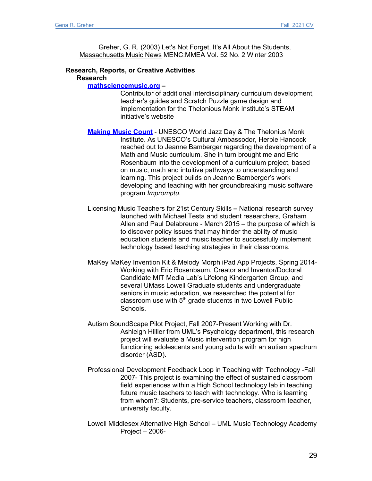Greher, G. R. (2003) Let's Not Forget, It's All About the Students, Massachusetts Music News MENC:MMEA Vol. 52 No. 2 Winter 2003

### **Research, Reports, or Creative Activities**

**Research**

**mathsciencemusic.org –**

Contributor of additional interdisciplinary curriculum development, teacher's guides and Scratch Puzzle game design and implementation for the Thelonious Monk Institute's STEAM initiative's website

- **Making Music Count** UNESCO World Jazz Day & The Thelonius Monk Institute. As UNESCO's Cultural Ambassodor, Herbie Hancock reached out to Jeanne Bamberger regarding the development of a Math and Music curriculum. She in turn brought me and Eric Rosenbaum into the development of a curriculum project, based on music, math and intuitive pathways to understanding and learning. This project builds on Jeanne Bamberger's work developing and teaching with her groundbreaking music software program *Impromptu.*
- Licensing Music Teachers for 21st Century Skills **–** National research survey launched with Michael Testa and student researchers, Graham Allen and Paul Delabreure - March 2015 – the purpose of which is to discover policy issues that may hinder the ability of music education students and music teacher to successfully implement technology based teaching strategies in their classrooms.
- MaKey MaKey Invention Kit & Melody Morph iPad App Projects, Spring 2014- Working with Eric Rosenbaum, Creator and Inventor/Doctoral Candidate MIT Media Lab's Lifelong Kindergarten Group, and several UMass Lowell Graduate students and undergraduate seniors in music education, we researched the potential for classroom use with  $5<sup>th</sup>$  grade students in two Lowell Public Schools.
- Autism SoundScape Pilot Project, Fall 2007-Present Working with Dr. Ashleigh Hillier from UML's Psychology department, this research project will evaluate a Music intervention program for high functioning adolescents and young adults with an autism spectrum disorder (ASD).
- Professional Development Feedback Loop in Teaching with Technology -Fall 2007- This project is examining the effect of sustained classroom field experiences within a High School technology lab in teaching future music teachers to teach with technology. Who is learning from whom?: Students, pre-service teachers, classroom teacher, university faculty.
- Lowell Middlesex Alternative High School UML Music Technology Academy Project – 2006-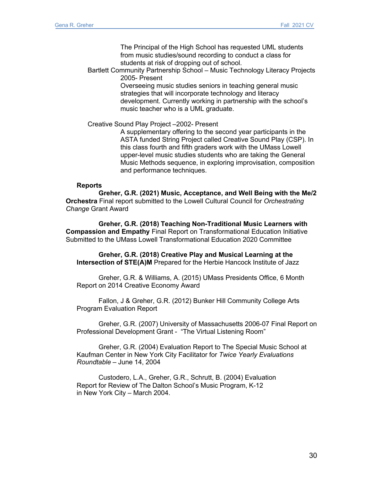The Principal of the High School has requested UML students from music studies/sound recording to conduct a class for students at risk of dropping out of school.

Bartlett Community Partnership School – Music Technology Literacy Projects 2005- Present

Overseeing music studies seniors in teaching general music strategies that will incorporate technology and literacy development. Currently working in partnership with the school's music teacher who is a UML graduate.

Creative Sound Play Project –2002- Present

A supplementary offering to the second year participants in the ASTA funded String Project called Creative Sound Play (CSP). In this class fourth and fifth graders work with the UMass Lowell upper-level music studies students who are taking the General Music Methods sequence, in exploring improvisation, composition and performance techniques.

### **Reports**

**Greher, G.R. (2021) Music, Acceptance, and Well Being with the Me/2 Orchestra** Final report submitted to the Lowell Cultural Council for *Orchestrating Change* Grant Award

**Greher, G.R. (2018) Teaching Non-Traditional Music Learners with Compassion and Empathy** Final Report on Transformational Education Initiative Submitted to the UMass Lowell Transformational Education 2020 Committee

**Greher, G.R. (2018) Creative Play and Musical Learning at the Intersection of STE(A)M** Prepared for the Herbie Hancock Institute of Jazz

Greher, G.R. & Williams, A. (2015) UMass Presidents Office, 6 Month Report on 2014 Creative Economy Award

Fallon, J & Greher, G.R. (2012) Bunker Hill Community College Arts Program Evaluation Report

Greher, G.R. (2007) University of Massachusetts 2006-07 Final Report on Professional Development Grant - "The Virtual Listening Room"

Greher, G.R. (2004) Evaluation Report to The Special Music School at Kaufman Center in New York City Facilitator for *Twice Yearly Evaluations Roundtable* – June 14, 2004

Custodero, L.A., Greher, G.R., Schrutt, B. (2004) Evaluation Report for Review of The Dalton School's Music Program, K-12 in New York City – March 2004.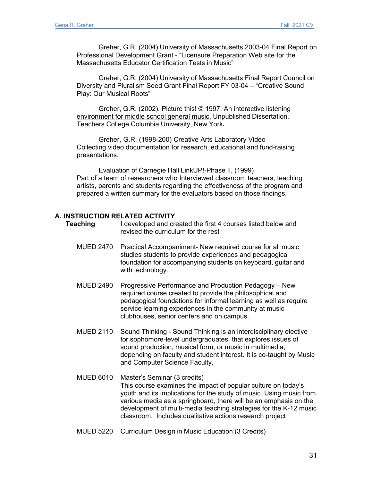Greher, G.R. (2004) University of Massachusetts 2003-04 Final Report on Professional Development Grant - "Licensure Preparation Web site for the Massachusetts Educator Certification Tests in Music"

Greher, G.R. (2004) University of Massachusetts Final Report Council on Diversity and Pluralism Seed Grant Final Report FY 03-04 – "Creative Sound Play: Our Musical Roots"

Greher, G.R. (2002). Picture this! © 1997: An interactive listening environment for middle school general music. Unpublished Dissertation, Teachers College Columbia University, New York**.**

Greher, G.R. (1998-200) Creative Arts Laboratory Video Collecting video documentation for research, educational and fund-raising presentations.

Evaluation of Carnegie Hall LinkUP!-Phase II, (1999) Part of a team of researchers who Interviewed classroom teachers, teaching artists, parents and students regarding the effectiveness of the program and prepared a written summary for the evaluators based on those findings.

### **A. INSTRUCTION RELATED ACTIVITY**

- **Teaching** I developed and created the first 4 courses listed below and revised the curriculum for the rest
	- MUED 2470 Practical Accompaniment- New required course for all music studies students to provide experiences and pedagogical foundation for accompanying students on keyboard, guitar and with technology.
	- MUED 2490 Progressive Performance and Production Pedagogy New required course created to provide the philosophical and pedagogical foundations for informal learning as well as require service learning experiences in the community at music clubhouses, senior centers and on campus.
	- MUED 2110 Sound Thinking Sound Thinking is an interdisciplinary elective for sophomore-level undergraduates, that explores issues of sound production, musical form, or music in multimedia, depending on faculty and student interest. It is co-taught by Music and Computer Science Faculty.
	- MUED 6010 Master's Seminar (3 credits) This course examines the impact of popular culture on today's youth and its implications for the study of music. Using music from various media as a springboard, there will be an emphasis on the development of multi-media teaching strategies for the K-12 music classroom. Includes qualitative actions research project
	- MUED 5220 Curriculum Design in Music Education (3 Credits)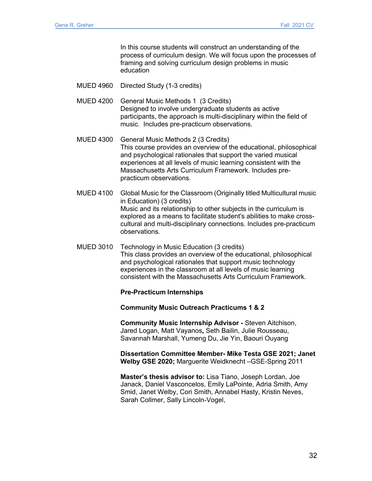In this course students will construct an understanding of the process of curriculum design. We will focus upon the processes of framing and solving curriculum design problems in music education

MUED 4960 Directed Study (1-3 credits)

MUED 4200 General Music Methods 1 (3 Credits) Designed to involve undergraduate students as active participants, the approach is multi-disciplinary within the field of music. Includes pre-practicum observations.

- MUED 4300 General Music Methods 2 (3 Credits) This course provides an overview of the educational, philosophical and psychological rationales that support the varied musical experiences at all levels of music learning consistent with the Massachusetts Arts Curriculum Framework. Includes prepracticum observations.
- MUED 4100 Global Music for the Classroom (Originally titled Multicultural music in Education) (3 credits) Music and its relationship to other subjects in the curriculum is explored as a means to facilitate student's abilities to make crosscultural and multi-disciplinary connections. Includes pre-practicum observations.
- MUED 3010 Technology in Music Education (3 credits) This class provides an overview of the educational, philosophical and psychological rationales that support music technology experiences in the classroom at all levels of music learning consistent with the Massachusetts Arts Curriculum Framework.

### **Pre-Practicum Internships**

**Community Music Outreach Practicums 1 & 2**

**Community Music Internship Advisor -** Steven Aitchison, Jared Logan, Matt Vayanos**,** Seth Bailin, Julie Rousseau, Savannah Marshall, Yumeng Du, Jie Yin, Baouri Ouyang

**Dissertation Committee Member- Mike Testa GSE 2021; Janet Welby GSE 2020;** Marguerite Weidknecht –GSE-Spring 2011

**Master's thesis advisor to:** Lisa Tiano, Joseph Lordan, Joe Janack, Daniel Vasconcelos, Emily LaPointe, Adria Smith, Amy Smid, Janet Welby, Cori Smith, Annabel Hasty, Kristin Neves, Sarah Collmer, Sally Lincoln-Vogel,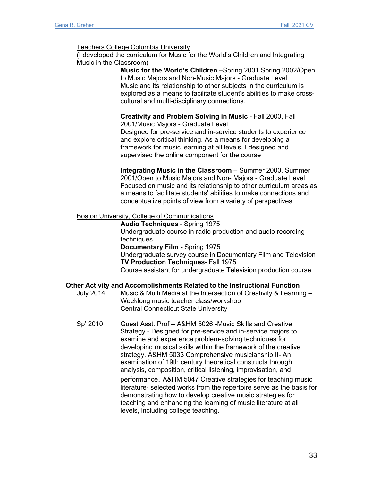### Teachers College Columbia University

(I developed the curriculum for Music for the World's Children and Integrating Music in the Classroom)

> **Music for the World's Children –**Spring 2001,Spring 2002/Open to Music Majors and Non-Music Majors - Graduate Level Music and its relationship to other subjects in the curriculum is explored as a means to facilitate student's abilities to make crosscultural and multi-disciplinary connections.

## **Creativity and Problem Solving in Music** - Fall 2000, Fall

2001/Music Majors - Graduate Level Designed for pre-service and in-service students to experience and explore critical thinking. As a means for developing a framework for music learning at all levels. I designed and supervised the online component for the course

**Integrating Music in the Classroom** – Summer 2000, Summer 2001/Open to Music Majors and Non- Majors - Graduate Level Focused on music and its relationship to other curriculum areas as a means to facilitate students' abilities to make connections and conceptualize points of view from a variety of perspectives.

### Boston University, College of Communications

**Audio Techniques** - Spring 1975 Undergraduate course in radio production and audio recording techniques **Documentary Film -** Spring 1975 Undergraduate survey course in Documentary Film and Television **TV Production Techniques**- Fall 1975 Course assistant for undergraduate Television production course

### **Other Activity and Accomplishments Related to the Instructional Function**

- July 2014 Music & Multi Media at the Intersection of Creativity & Learning Weeklong music teacher class/workshop Central Connecticut State University
- Sp' 2010 Guest Asst. Prof A&HM 5026 -Music Skills and Creative Strategy - Designed for pre-service and in-service majors to examine and experience problem-solving techniques for developing musical skills within the framework of the creative strategy. A&HM 5033 Comprehensive musicianship II- An examination of 19th century theoretical constructs through analysis, composition, critical listening, improvisation, and

performance. A&HM 5047 Creative strategies for teaching music literature- selected works from the repertoire serve as the basis for demonstrating how to develop creative music strategies for teaching and enhancing the learning of music literature at all levels, including college teaching.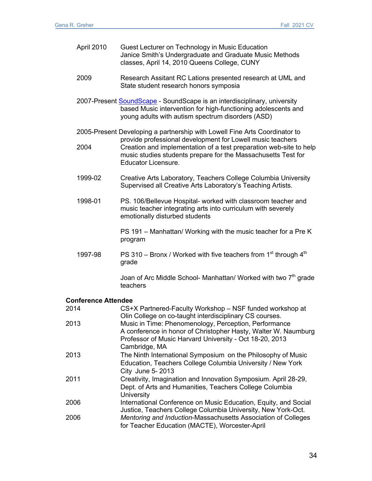|      | April 2010                 | Guest Lecturer on Technology in Music Education<br>Janice Smith's Undergraduate and Graduate Music Methods<br>classes, April 14, 2010 Queens College, CUNY                                                               |
|------|----------------------------|--------------------------------------------------------------------------------------------------------------------------------------------------------------------------------------------------------------------------|
|      | 2009                       | Research Assitant RC Lations presented research at UML and<br>State student research honors symposia                                                                                                                     |
|      |                            | 2007-Present SoundScape - SoundScape is an interdisciplinary, university<br>based Music intervention for high-functioning adolescents and<br>young adults with autism spectrum disorders (ASD)                           |
|      |                            | 2005-Present Developing a partnership with Lowell Fine Arts Coordinator to                                                                                                                                               |
|      | 2004                       | provide professional development for Lowell music teachers<br>Creation and implementation of a test preparation web-site to help<br>music studies students prepare for the Massachusetts Test for<br>Educator Licensure. |
|      | 1999-02                    | Creative Arts Laboratory, Teachers College Columbia University<br>Supervised all Creative Arts Laboratory's Teaching Artists.                                                                                            |
|      | 1998-01                    | PS. 106/Bellevue Hospital- worked with classroom teacher and<br>music teacher integrating arts into curriculum with severely<br>emotionally disturbed students                                                           |
|      |                            | PS 191 - Manhattan/ Working with the music teacher for a Pre K<br>program                                                                                                                                                |
|      | 1997-98                    | PS 310 - Bronx / Worked with five teachers from $1st$ through $4th$<br>grade                                                                                                                                             |
|      |                            | Joan of Arc Middle School- Manhattan/ Worked with two 7 <sup>th</sup> grade<br>teachers                                                                                                                                  |
|      | <b>Conference Attendee</b> |                                                                                                                                                                                                                          |
| 2014 |                            | CS+X Partnered-Faculty Workshop - NSF funded workshop at<br>Olin College on co-taught interdisciplinary CS courses.                                                                                                      |
| 2013 |                            | Music in Time: Phenomenology, Perception, Performance<br>A conference in honor of Christopher Hasty, Walter W. Naumburg<br>Professor of Music Harvard University - Oct 18-20, 2013<br>Cambridge, MA                      |
| 2013 |                            | The Ninth International Symposium on the Philosophy of Music<br>Education, Teachers College Columbia University / New York<br>City June 5-2013                                                                           |
| 2011 |                            | Creativity, Imagination and Innovation Symposium. April 28-29,<br>Dept. of Arts and Humanities, Teachers College Columbia<br>University                                                                                  |

2006 International Conference on Music Education, Equity, and Social Justice, Teachers College Columbia University, New York-Oct. 2006 *Mentoring and Induction*-Massachusetts Association of Colleges for Teacher Education (MACTE), Worcester-April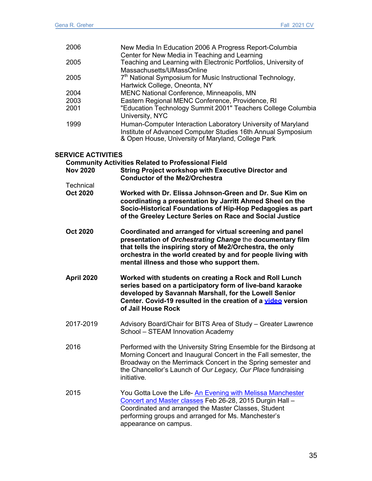| 2006                      | New Media In Education 2006 A Progress Report-Columbia                                                                                                                                                                                                                                           |
|---------------------------|--------------------------------------------------------------------------------------------------------------------------------------------------------------------------------------------------------------------------------------------------------------------------------------------------|
|                           | Center for New Media in Teaching and Learning                                                                                                                                                                                                                                                    |
| 2005                      | Teaching and Learning with Electronic Portfolios, University of                                                                                                                                                                                                                                  |
|                           | Massachusetts/UMassOnline                                                                                                                                                                                                                                                                        |
| 2005                      | 7 <sup>th</sup> National Symposium for Music Instructional Technology,                                                                                                                                                                                                                           |
|                           | Hartwick College, Oneonta, NY                                                                                                                                                                                                                                                                    |
| 2004                      | MENC National Conference, Minneapolis, MN                                                                                                                                                                                                                                                        |
| 2003                      | Eastern Regional MENC Conference, Providence, RI                                                                                                                                                                                                                                                 |
| 2001                      | "Education Technology Summit 2001" Teachers College Columbia<br>University, NYC                                                                                                                                                                                                                  |
| 1999                      | Human-Computer Interaction Laboratory University of Maryland<br>Institute of Advanced Computer Studies 16th Annual Symposium<br>& Open House, University of Maryland, College Park                                                                                                               |
| <b>SERVICE ACTIVITIES</b> |                                                                                                                                                                                                                                                                                                  |
|                           | <b>Community Activities Related to Professional Field</b>                                                                                                                                                                                                                                        |
| <b>Nov 2020</b>           | <b>String Project workshop with Executive Director and</b><br><b>Conductor of the Me2/Orchestra</b>                                                                                                                                                                                              |
| <b>Technical</b>          |                                                                                                                                                                                                                                                                                                  |
| <b>Oct 2020</b>           | Worked with Dr. Elissa Johnson-Green and Dr. Sue Kim on<br>coordinating a presentation by Jarritt Ahmed Sheel on the<br>Socio-Historical Foundations of Hip-Hop Pedagogies as part<br>of the Greeley Lecture Series on Race and Social Justice                                                   |
| <b>Oct 2020</b>           | Coordinated and arranged for virtual screening and panel<br>presentation of Orchestrating Change the documentary film<br>that tells the inspiring story of Me2/Orchestra, the only<br>orchestra in the world created by and for people living with<br>mental illness and those who support them. |

- **April 2020 Worked with students on creating a Rock and Roll Lunch series based on a participatory form of live-band karaoke developed by Savannah Marshall, for the Lowell Senior Center. Covid-19 resulted in the creation of a video version of Jail House Rock**
- 2017-2019 Advisory Board/Chair for BITS Area of Study Greater Lawrence School – STEAM Innovation Academy
- 2016 Performed with the University String Ensemble for the Birdsong at Morning Concert and Inaugural Concert in the Fall semester, the Broadway on the Merrimack Concert in the Spring semester and the Chancellor's Launch of *Our Legacy, Our Place* fundraising initiative*.*
- 2015 You Gotta Love the Life- An Evening with Melissa Manchester Concert and Master classes Feb 26-28, 2015 Durgin Hall – Coordinated and arranged the Master Classes, Student performing groups and arranged for Ms. Manchester's appearance on campus.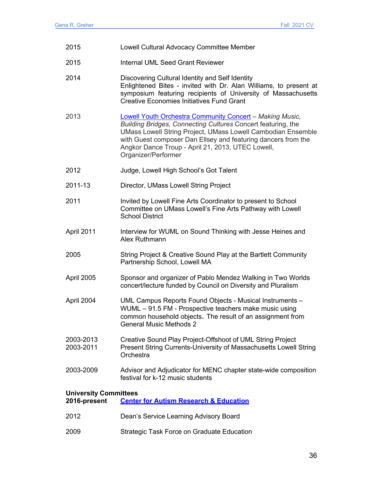| 2015                                         | Lowell Cultural Advocacy Committee Member                                                                                                                                                                                                                                                                                                           |
|----------------------------------------------|-----------------------------------------------------------------------------------------------------------------------------------------------------------------------------------------------------------------------------------------------------------------------------------------------------------------------------------------------------|
| 2015                                         | Internal UML Seed Grant Reviewer                                                                                                                                                                                                                                                                                                                    |
| 2014                                         | Discovering Cultural Identity and Self Identity<br>Enlightened Bites - invited with Dr. Alan Williams, to present at<br>symposium featuring recipients of University of Massachusetts<br><b>Creative Economies Initiatives Fund Grant</b>                                                                                                           |
| 2013                                         | <b>Lowell Youth Orchestra Community Concert - Making Music,</b><br>Building Bridges, Connecting Cultures Concert featuring, the<br><b>UMass Lowell String Project, UMass Lowell Cambodian Ensemble</b><br>with Guest composer Dan Ellsey and featuring dancers from the<br>Angkor Dance Troup - April 21, 2013, UTEC Lowell,<br>Organizer/Performer |
| 2012                                         | Judge, Lowell High School's Got Talent                                                                                                                                                                                                                                                                                                              |
| 2011-13                                      | Director, UMass Lowell String Project                                                                                                                                                                                                                                                                                                               |
| 2011                                         | Invited by Lowell Fine Arts Coordinator to present to School<br>Committee on UMass Lowell's Fine Arts Pathway with Lowell<br><b>School District</b>                                                                                                                                                                                                 |
| April 2011                                   | Interview for WUML on Sound Thinking with Jesse Heines and<br>Alex Ruthmann                                                                                                                                                                                                                                                                         |
| 2005                                         | String Project & Creative Sound Play at the Bartlett Community<br>Partnership School, Lowell MA                                                                                                                                                                                                                                                     |
| April 2005                                   | Sponsor and organizer of Pablo Mendez Walking in Two Worlds<br>concert/lecture funded by Council on Diversity and Pluralism                                                                                                                                                                                                                         |
| April 2004                                   | UML Campus Reports Found Objects - Musical Instruments -<br>WUML - 91.5 FM - Prospective teachers make music using<br>common household objects. The result of an assignment from<br><b>General Music Methods 2</b>                                                                                                                                  |
| 2003-2013<br>2003-2011                       | Creative Sound Play Project-Offshoot of UML String Project<br>Present String Currents-University of Massachusetts Lowell String<br>Orchestra                                                                                                                                                                                                        |
| 2003-2009                                    | Advisor and Adjudicator for MENC chapter state-wide composition<br>festival for k-12 music students                                                                                                                                                                                                                                                 |
| <b>University Committees</b><br>2016-present | <b>Center for Autism Research &amp; Education</b>                                                                                                                                                                                                                                                                                                   |
| 2012                                         | Dean's Service Learning Advisory Board                                                                                                                                                                                                                                                                                                              |
| 2009                                         | <b>Strategic Task Force on Graduate Education</b>                                                                                                                                                                                                                                                                                                   |